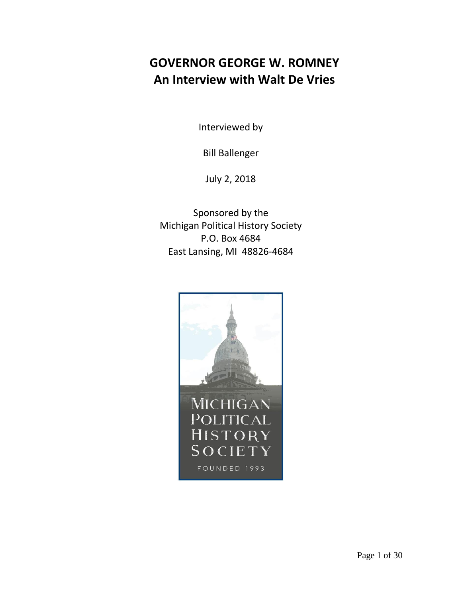## **GOVERNOR GEORGE W. ROMNEY An Interview with Walt De Vries**

Interviewed by

Bill Ballenger

July 2, 2018

Sponsored by the Michigan Political History Society P.O. Box 4684 East Lansing, MI 48826-4684

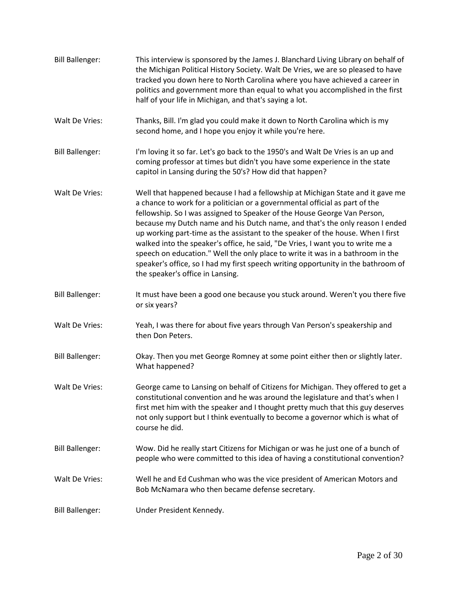| <b>Bill Ballenger:</b> | This interview is sponsored by the James J. Blanchard Living Library on behalf of<br>the Michigan Political History Society. Walt De Vries, we are so pleased to have<br>tracked you down here to North Carolina where you have achieved a career in<br>politics and government more than equal to what you accomplished in the first<br>half of your life in Michigan, and that's saying a lot.                                                                                                                                                                                                                                                                                                          |
|------------------------|-----------------------------------------------------------------------------------------------------------------------------------------------------------------------------------------------------------------------------------------------------------------------------------------------------------------------------------------------------------------------------------------------------------------------------------------------------------------------------------------------------------------------------------------------------------------------------------------------------------------------------------------------------------------------------------------------------------|
| Walt De Vries:         | Thanks, Bill. I'm glad you could make it down to North Carolina which is my<br>second home, and I hope you enjoy it while you're here.                                                                                                                                                                                                                                                                                                                                                                                                                                                                                                                                                                    |
| <b>Bill Ballenger:</b> | I'm loving it so far. Let's go back to the 1950's and Walt De Vries is an up and<br>coming professor at times but didn't you have some experience in the state<br>capitol in Lansing during the 50's? How did that happen?                                                                                                                                                                                                                                                                                                                                                                                                                                                                                |
| Walt De Vries:         | Well that happened because I had a fellowship at Michigan State and it gave me<br>a chance to work for a politician or a governmental official as part of the<br>fellowship. So I was assigned to Speaker of the House George Van Person,<br>because my Dutch name and his Dutch name, and that's the only reason I ended<br>up working part-time as the assistant to the speaker of the house. When I first<br>walked into the speaker's office, he said, "De Vries, I want you to write me a<br>speech on education." Well the only place to write it was in a bathroom in the<br>speaker's office, so I had my first speech writing opportunity in the bathroom of<br>the speaker's office in Lansing. |
| <b>Bill Ballenger:</b> | It must have been a good one because you stuck around. Weren't you there five<br>or six years?                                                                                                                                                                                                                                                                                                                                                                                                                                                                                                                                                                                                            |
| Walt De Vries:         | Yeah, I was there for about five years through Van Person's speakership and<br>then Don Peters.                                                                                                                                                                                                                                                                                                                                                                                                                                                                                                                                                                                                           |
| <b>Bill Ballenger:</b> | Okay. Then you met George Romney at some point either then or slightly later.<br>What happened?                                                                                                                                                                                                                                                                                                                                                                                                                                                                                                                                                                                                           |
| Walt De Vries:         | George came to Lansing on behalf of Citizens for Michigan. They offered to get a<br>constitutional convention and he was around the legislature and that's when I<br>first met him with the speaker and I thought pretty much that this guy deserves<br>not only support but I think eventually to become a governor which is what of<br>course he did.                                                                                                                                                                                                                                                                                                                                                   |
| <b>Bill Ballenger:</b> | Wow. Did he really start Citizens for Michigan or was he just one of a bunch of<br>people who were committed to this idea of having a constitutional convention?                                                                                                                                                                                                                                                                                                                                                                                                                                                                                                                                          |
| Walt De Vries:         | Well he and Ed Cushman who was the vice president of American Motors and<br>Bob McNamara who then became defense secretary.                                                                                                                                                                                                                                                                                                                                                                                                                                                                                                                                                                               |
| <b>Bill Ballenger:</b> | Under President Kennedy.                                                                                                                                                                                                                                                                                                                                                                                                                                                                                                                                                                                                                                                                                  |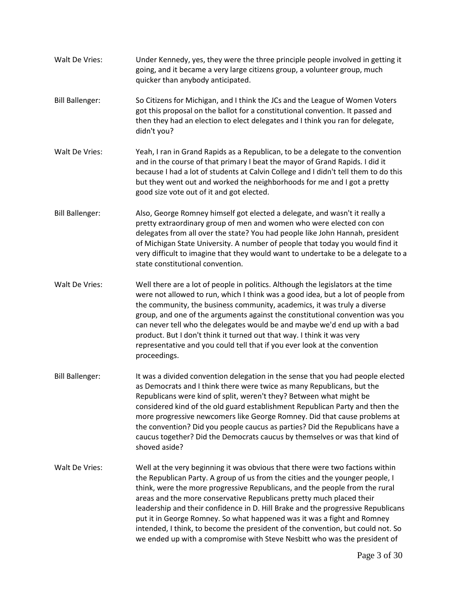- Walt De Vries: Under Kennedy, yes, they were the three principle people involved in getting it going, and it became a very large citizens group, a volunteer group, much quicker than anybody anticipated.
- Bill Ballenger: So Citizens for Michigan, and I think the JCs and the League of Women Voters got this proposal on the ballot for a constitutional convention. It passed and then they had an election to elect delegates and I think you ran for delegate, didn't you?
- Walt De Vries: Yeah, I ran in Grand Rapids as a Republican, to be a delegate to the convention and in the course of that primary I beat the mayor of Grand Rapids. I did it because I had a lot of students at Calvin College and I didn't tell them to do this but they went out and worked the neighborhoods for me and I got a pretty good size vote out of it and got elected.
- Bill Ballenger: Also, George Romney himself got elected a delegate, and wasn't it really a pretty extraordinary group of men and women who were elected con con delegates from all over the state? You had people like John Hannah, president of Michigan State University. A number of people that today you would find it very difficult to imagine that they would want to undertake to be a delegate to a state constitutional convention.
- Walt De Vries: Well there are a lot of people in politics. Although the legislators at the time were not allowed to run, which I think was a good idea, but a lot of people from the community, the business community, academics, it was truly a diverse group, and one of the arguments against the constitutional convention was you can never tell who the delegates would be and maybe we'd end up with a bad product. But I don't think it turned out that way. I think it was very representative and you could tell that if you ever look at the convention proceedings.
- Bill Ballenger: It was a divided convention delegation in the sense that you had people elected as Democrats and I think there were twice as many Republicans, but the Republicans were kind of split, weren't they? Between what might be considered kind of the old guard establishment Republican Party and then the more progressive newcomers like George Romney. Did that cause problems at the convention? Did you people caucus as parties? Did the Republicans have a caucus together? Did the Democrats caucus by themselves or was that kind of shoved aside?
- Walt De Vries: Well at the very beginning it was obvious that there were two factions within the Republican Party. A group of us from the cities and the younger people, I think, were the more progressive Republicans, and the people from the rural areas and the more conservative Republicans pretty much placed their leadership and their confidence in D. Hill Brake and the progressive Republicans put it in George Romney. So what happened was it was a fight and Romney intended, I think, to become the president of the convention, but could not. So we ended up with a compromise with Steve Nesbitt who was the president of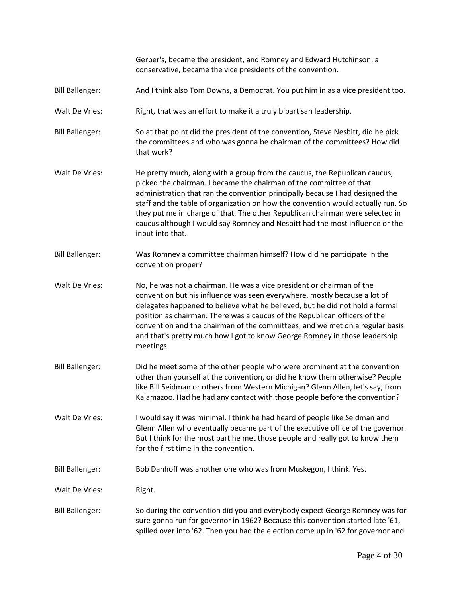|                        | Gerber's, became the president, and Romney and Edward Hutchinson, a<br>conservative, became the vice presidents of the convention.                                                                                                                                                                                                                                                                                                                                                                          |
|------------------------|-------------------------------------------------------------------------------------------------------------------------------------------------------------------------------------------------------------------------------------------------------------------------------------------------------------------------------------------------------------------------------------------------------------------------------------------------------------------------------------------------------------|
| <b>Bill Ballenger:</b> | And I think also Tom Downs, a Democrat. You put him in as a vice president too.                                                                                                                                                                                                                                                                                                                                                                                                                             |
| Walt De Vries:         | Right, that was an effort to make it a truly bipartisan leadership.                                                                                                                                                                                                                                                                                                                                                                                                                                         |
| <b>Bill Ballenger:</b> | So at that point did the president of the convention, Steve Nesbitt, did he pick<br>the committees and who was gonna be chairman of the committees? How did<br>that work?                                                                                                                                                                                                                                                                                                                                   |
| Walt De Vries:         | He pretty much, along with a group from the caucus, the Republican caucus,<br>picked the chairman. I became the chairman of the committee of that<br>administration that ran the convention principally because I had designed the<br>staff and the table of organization on how the convention would actually run. So<br>they put me in charge of that. The other Republican chairman were selected in<br>caucus although I would say Romney and Nesbitt had the most influence or the<br>input into that. |
| <b>Bill Ballenger:</b> | Was Romney a committee chairman himself? How did he participate in the<br>convention proper?                                                                                                                                                                                                                                                                                                                                                                                                                |
| Walt De Vries:         | No, he was not a chairman. He was a vice president or chairman of the<br>convention but his influence was seen everywhere, mostly because a lot of<br>delegates happened to believe what he believed, but he did not hold a formal<br>position as chairman. There was a caucus of the Republican officers of the<br>convention and the chairman of the committees, and we met on a regular basis<br>and that's pretty much how I got to know George Romney in those leadership<br>meetings.                 |
| <b>Bill Ballenger:</b> | Did he meet some of the other people who were prominent at the convention<br>other than yourself at the convention, or did he know them otherwise? People<br>like Bill Seidman or others from Western Michigan? Glenn Allen, let's say, from<br>Kalamazoo. Had he had any contact with those people before the convention?                                                                                                                                                                                  |
| Walt De Vries:         | I would say it was minimal. I think he had heard of people like Seidman and<br>Glenn Allen who eventually became part of the executive office of the governor.<br>But I think for the most part he met those people and really got to know them<br>for the first time in the convention.                                                                                                                                                                                                                    |
| <b>Bill Ballenger:</b> | Bob Danhoff was another one who was from Muskegon, I think. Yes.                                                                                                                                                                                                                                                                                                                                                                                                                                            |
| Walt De Vries:         | Right.                                                                                                                                                                                                                                                                                                                                                                                                                                                                                                      |
| <b>Bill Ballenger:</b> | So during the convention did you and everybody expect George Romney was for<br>sure gonna run for governor in 1962? Because this convention started late '61,<br>spilled over into '62. Then you had the election come up in '62 for governor and                                                                                                                                                                                                                                                           |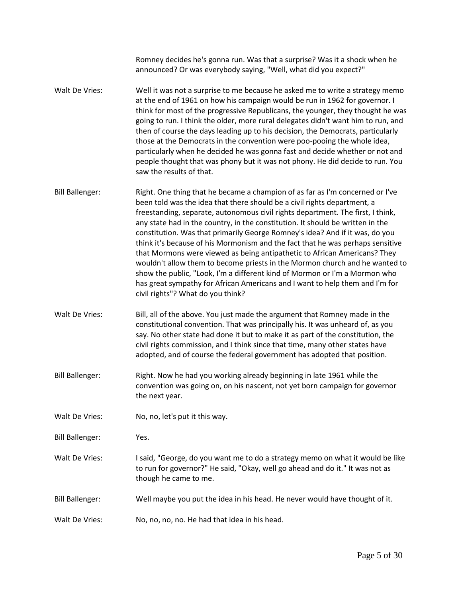Romney decides he's gonna run. Was that a surprise? Was it a shock when he announced? Or was everybody saying, "Well, what did you expect?" Walt De Vries: Well it was not a surprise to me because he asked me to write a strategy memo at the end of 1961 on how his campaign would be run in 1962 for governor. I think for most of the progressive Republicans, the younger, they thought he was going to run. I think the older, more rural delegates didn't want him to run, and then of course the days leading up to his decision, the Democrats, particularly those at the Democrats in the convention were poo-pooing the whole idea, particularly when he decided he was gonna fast and decide whether or not and people thought that was phony but it was not phony. He did decide to run. You saw the results of that. Bill Ballenger: Right. One thing that he became a champion of as far as I'm concerned or I've been told was the idea that there should be a civil rights department, a freestanding, separate, autonomous civil rights department. The first, I think, any state had in the country, in the constitution. It should be written in the constitution. Was that primarily George Romney's idea? And if it was, do you think it's because of his Mormonism and the fact that he was perhaps sensitive that Mormons were viewed as being antipathetic to African Americans? They wouldn't allow them to become priests in the Mormon church and he wanted to show the public, "Look, I'm a different kind of Mormon or I'm a Mormon who has great sympathy for African Americans and I want to help them and I'm for civil rights"? What do you think? Walt De Vries: Bill, all of the above. You just made the argument that Romney made in the constitutional convention. That was principally his. It was unheard of, as you say. No other state had done it but to make it as part of the constitution, the civil rights commission, and I think since that time, many other states have adopted, and of course the federal government has adopted that position. Bill Ballenger: Right. Now he had you working already beginning in late 1961 while the convention was going on, on his nascent, not yet born campaign for governor the next year. Walt De Vries: No, no, let's put it this way. Bill Ballenger: Yes. Walt De Vries: I said, "George, do you want me to do a strategy memo on what it would be like to run for governor?" He said, "Okay, well go ahead and do it." It was not as though he came to me. Bill Ballenger: Well maybe you put the idea in his head. He never would have thought of it. Walt De Vries: No, no, no, no. He had that idea in his head.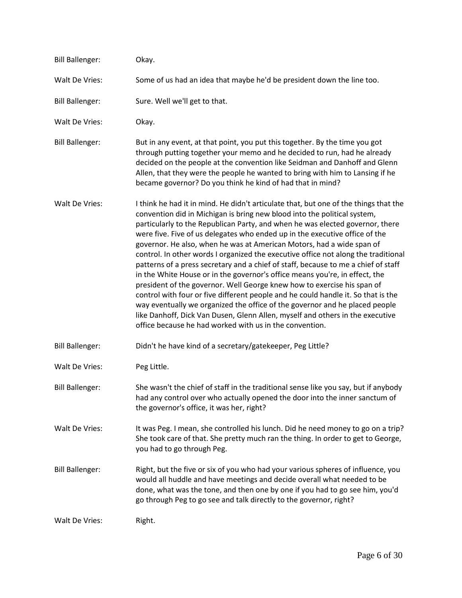| <b>Bill Ballenger:</b> | Okay.                                                                                                                                                                                                                                                                                                                                                                                                                                                                                                                                                                                                                                                                                                                                                                                                                                                                                                                                                                                                                                                           |
|------------------------|-----------------------------------------------------------------------------------------------------------------------------------------------------------------------------------------------------------------------------------------------------------------------------------------------------------------------------------------------------------------------------------------------------------------------------------------------------------------------------------------------------------------------------------------------------------------------------------------------------------------------------------------------------------------------------------------------------------------------------------------------------------------------------------------------------------------------------------------------------------------------------------------------------------------------------------------------------------------------------------------------------------------------------------------------------------------|
| Walt De Vries:         | Some of us had an idea that maybe he'd be president down the line too.                                                                                                                                                                                                                                                                                                                                                                                                                                                                                                                                                                                                                                                                                                                                                                                                                                                                                                                                                                                          |
| <b>Bill Ballenger:</b> | Sure. Well we'll get to that.                                                                                                                                                                                                                                                                                                                                                                                                                                                                                                                                                                                                                                                                                                                                                                                                                                                                                                                                                                                                                                   |
| Walt De Vries:         | Okay.                                                                                                                                                                                                                                                                                                                                                                                                                                                                                                                                                                                                                                                                                                                                                                                                                                                                                                                                                                                                                                                           |
| <b>Bill Ballenger:</b> | But in any event, at that point, you put this together. By the time you got<br>through putting together your memo and he decided to run, had he already<br>decided on the people at the convention like Seidman and Danhoff and Glenn<br>Allen, that they were the people he wanted to bring with him to Lansing if he<br>became governor? Do you think he kind of had that in mind?                                                                                                                                                                                                                                                                                                                                                                                                                                                                                                                                                                                                                                                                            |
| Walt De Vries:         | I think he had it in mind. He didn't articulate that, but one of the things that the<br>convention did in Michigan is bring new blood into the political system,<br>particularly to the Republican Party, and when he was elected governor, there<br>were five. Five of us delegates who ended up in the executive office of the<br>governor. He also, when he was at American Motors, had a wide span of<br>control. In other words I organized the executive office not along the traditional<br>patterns of a press secretary and a chief of staff, because to me a chief of staff<br>in the White House or in the governor's office means you're, in effect, the<br>president of the governor. Well George knew how to exercise his span of<br>control with four or five different people and he could handle it. So that is the<br>way eventually we organized the office of the governor and he placed people<br>like Danhoff, Dick Van Dusen, Glenn Allen, myself and others in the executive<br>office because he had worked with us in the convention. |
| <b>Bill Ballenger:</b> | Didn't he have kind of a secretary/gatekeeper, Peg Little?                                                                                                                                                                                                                                                                                                                                                                                                                                                                                                                                                                                                                                                                                                                                                                                                                                                                                                                                                                                                      |
| Walt De Vries:         | Peg Little.                                                                                                                                                                                                                                                                                                                                                                                                                                                                                                                                                                                                                                                                                                                                                                                                                                                                                                                                                                                                                                                     |
| <b>Bill Ballenger:</b> | She wasn't the chief of staff in the traditional sense like you say, but if anybody<br>had any control over who actually opened the door into the inner sanctum of<br>the governor's office, it was her, right?                                                                                                                                                                                                                                                                                                                                                                                                                                                                                                                                                                                                                                                                                                                                                                                                                                                 |
| Walt De Vries:         | It was Peg. I mean, she controlled his lunch. Did he need money to go on a trip?<br>She took care of that. She pretty much ran the thing. In order to get to George,<br>you had to go through Peg.                                                                                                                                                                                                                                                                                                                                                                                                                                                                                                                                                                                                                                                                                                                                                                                                                                                              |
| <b>Bill Ballenger:</b> | Right, but the five or six of you who had your various spheres of influence, you<br>would all huddle and have meetings and decide overall what needed to be<br>done, what was the tone, and then one by one if you had to go see him, you'd<br>go through Peg to go see and talk directly to the governor, right?                                                                                                                                                                                                                                                                                                                                                                                                                                                                                                                                                                                                                                                                                                                                               |
| Walt De Vries:         | Right.                                                                                                                                                                                                                                                                                                                                                                                                                                                                                                                                                                                                                                                                                                                                                                                                                                                                                                                                                                                                                                                          |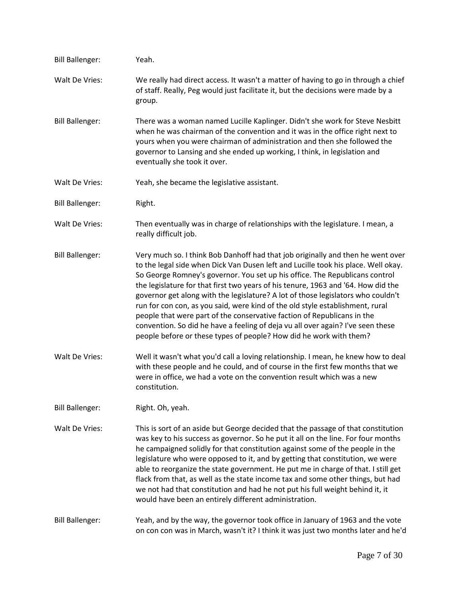| <b>Bill Ballenger:</b> | Yeah.                                                                                                                                                                                                                                                                                                                                                                                                                                                                                                                                                                                                                                                                                                                                             |
|------------------------|---------------------------------------------------------------------------------------------------------------------------------------------------------------------------------------------------------------------------------------------------------------------------------------------------------------------------------------------------------------------------------------------------------------------------------------------------------------------------------------------------------------------------------------------------------------------------------------------------------------------------------------------------------------------------------------------------------------------------------------------------|
| Walt De Vries:         | We really had direct access. It wasn't a matter of having to go in through a chief<br>of staff. Really, Peg would just facilitate it, but the decisions were made by a<br>group.                                                                                                                                                                                                                                                                                                                                                                                                                                                                                                                                                                  |
| <b>Bill Ballenger:</b> | There was a woman named Lucille Kaplinger. Didn't she work for Steve Nesbitt<br>when he was chairman of the convention and it was in the office right next to<br>yours when you were chairman of administration and then she followed the<br>governor to Lansing and she ended up working, I think, in legislation and<br>eventually she took it over.                                                                                                                                                                                                                                                                                                                                                                                            |
| Walt De Vries:         | Yeah, she became the legislative assistant.                                                                                                                                                                                                                                                                                                                                                                                                                                                                                                                                                                                                                                                                                                       |
| <b>Bill Ballenger:</b> | Right.                                                                                                                                                                                                                                                                                                                                                                                                                                                                                                                                                                                                                                                                                                                                            |
| Walt De Vries:         | Then eventually was in charge of relationships with the legislature. I mean, a<br>really difficult job.                                                                                                                                                                                                                                                                                                                                                                                                                                                                                                                                                                                                                                           |
| <b>Bill Ballenger:</b> | Very much so. I think Bob Danhoff had that job originally and then he went over<br>to the legal side when Dick Van Dusen left and Lucille took his place. Well okay.<br>So George Romney's governor. You set up his office. The Republicans control<br>the legislature for that first two years of his tenure, 1963 and '64. How did the<br>governor get along with the legislature? A lot of those legislators who couldn't<br>run for con con, as you said, were kind of the old style establishment, rural<br>people that were part of the conservative faction of Republicans in the<br>convention. So did he have a feeling of deja vu all over again? I've seen these<br>people before or these types of people? How did he work with them? |
| Walt De Vries:         | Well it wasn't what you'd call a loving relationship. I mean, he knew how to deal<br>with these people and he could, and of course in the first few months that we<br>were in office, we had a vote on the convention result which was a new<br>constitution.                                                                                                                                                                                                                                                                                                                                                                                                                                                                                     |
| <b>Bill Ballenger:</b> | Right. Oh, yeah.                                                                                                                                                                                                                                                                                                                                                                                                                                                                                                                                                                                                                                                                                                                                  |
| Walt De Vries:         | This is sort of an aside but George decided that the passage of that constitution<br>was key to his success as governor. So he put it all on the line. For four months<br>he campaigned solidly for that constitution against some of the people in the<br>legislature who were opposed to it, and by getting that constitution, we were<br>able to reorganize the state government. He put me in charge of that. I still get<br>flack from that, as well as the state income tax and some other things, but had<br>we not had that constitution and had he not put his full weight behind it, it<br>would have been an entirely different administration.                                                                                        |
| <b>Bill Ballenger:</b> | Yeah, and by the way, the governor took office in January of 1963 and the vote<br>on con con was in March, wasn't it? I think it was just two months later and he'd                                                                                                                                                                                                                                                                                                                                                                                                                                                                                                                                                                               |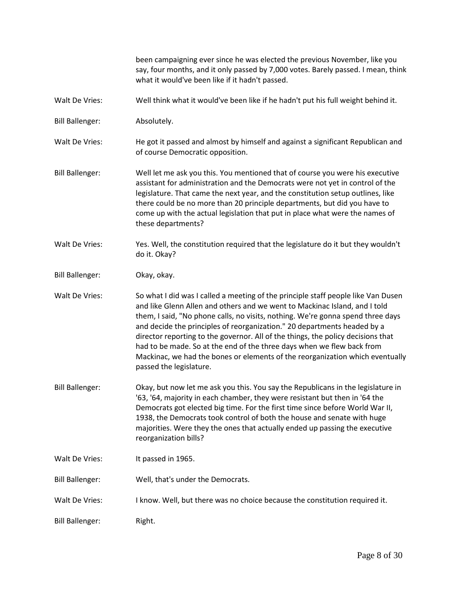been campaigning ever since he was elected the previous November, like you say, four months, and it only passed by 7,000 votes. Barely passed. I mean, think what it would've been like if it hadn't passed.

- Walt De Vries: Well think what it would've been like if he hadn't put his full weight behind it.
- Bill Ballenger: Absolutely.
- Walt De Vries: He got it passed and almost by himself and against a significant Republican and of course Democratic opposition.
- Bill Ballenger: Well let me ask you this. You mentioned that of course you were his executive assistant for administration and the Democrats were not yet in control of the legislature. That came the next year, and the constitution setup outlines, like there could be no more than 20 principle departments, but did you have to come up with the actual legislation that put in place what were the names of these departments?
- Walt De Vries: Yes. Well, the constitution required that the legislature do it but they wouldn't do it. Okay?
- Bill Ballenger: Okay, okay.
- Walt De Vries: So what I did was I called a meeting of the principle staff people like Van Dusen and like Glenn Allen and others and we went to Mackinac Island, and I told them, I said, "No phone calls, no visits, nothing. We're gonna spend three days and decide the principles of reorganization." 20 departments headed by a director reporting to the governor. All of the things, the policy decisions that had to be made. So at the end of the three days when we flew back from Mackinac, we had the bones or elements of the reorganization which eventually passed the legislature.
- Bill Ballenger: Okay, but now let me ask you this. You say the Republicans in the legislature in '63, '64, majority in each chamber, they were resistant but then in '64 the Democrats got elected big time. For the first time since before World War II, 1938, the Democrats took control of both the house and senate with huge majorities. Were they the ones that actually ended up passing the executive reorganization bills?
- Walt De Vries: It passed in 1965.
- Bill Ballenger: Well, that's under the Democrats.
- Walt De Vries: I know. Well, but there was no choice because the constitution required it.
- Bill Ballenger: Right.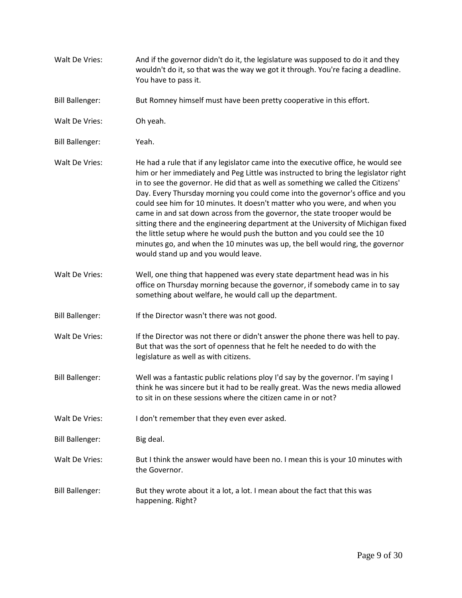| Walt De Vries:         | And if the governor didn't do it, the legislature was supposed to do it and they<br>wouldn't do it, so that was the way we got it through. You're facing a deadline.<br>You have to pass it.                                                                                                                                                                                                                                                                                                                                                                                                                                                                                                                                                                                                    |
|------------------------|-------------------------------------------------------------------------------------------------------------------------------------------------------------------------------------------------------------------------------------------------------------------------------------------------------------------------------------------------------------------------------------------------------------------------------------------------------------------------------------------------------------------------------------------------------------------------------------------------------------------------------------------------------------------------------------------------------------------------------------------------------------------------------------------------|
| <b>Bill Ballenger:</b> | But Romney himself must have been pretty cooperative in this effort.                                                                                                                                                                                                                                                                                                                                                                                                                                                                                                                                                                                                                                                                                                                            |
| Walt De Vries:         | Oh yeah.                                                                                                                                                                                                                                                                                                                                                                                                                                                                                                                                                                                                                                                                                                                                                                                        |
| <b>Bill Ballenger:</b> | Yeah.                                                                                                                                                                                                                                                                                                                                                                                                                                                                                                                                                                                                                                                                                                                                                                                           |
| Walt De Vries:         | He had a rule that if any legislator came into the executive office, he would see<br>him or her immediately and Peg Little was instructed to bring the legislator right<br>in to see the governor. He did that as well as something we called the Citizens'<br>Day. Every Thursday morning you could come into the governor's office and you<br>could see him for 10 minutes. It doesn't matter who you were, and when you<br>came in and sat down across from the governor, the state trooper would be<br>sitting there and the engineering department at the University of Michigan fixed<br>the little setup where he would push the button and you could see the 10<br>minutes go, and when the 10 minutes was up, the bell would ring, the governor<br>would stand up and you would leave. |
| Walt De Vries:         | Well, one thing that happened was every state department head was in his<br>office on Thursday morning because the governor, if somebody came in to say<br>something about welfare, he would call up the department.                                                                                                                                                                                                                                                                                                                                                                                                                                                                                                                                                                            |
| <b>Bill Ballenger:</b> | If the Director wasn't there was not good.                                                                                                                                                                                                                                                                                                                                                                                                                                                                                                                                                                                                                                                                                                                                                      |
| Walt De Vries:         | If the Director was not there or didn't answer the phone there was hell to pay.<br>But that was the sort of openness that he felt he needed to do with the<br>legislature as well as with citizens.                                                                                                                                                                                                                                                                                                                                                                                                                                                                                                                                                                                             |
| <b>Bill Ballenger:</b> | Well was a fantastic public relations ploy I'd say by the governor. I'm saying I<br>think he was sincere but it had to be really great. Was the news media allowed<br>to sit in on these sessions where the citizen came in or not?                                                                                                                                                                                                                                                                                                                                                                                                                                                                                                                                                             |
| Walt De Vries:         | I don't remember that they even ever asked.                                                                                                                                                                                                                                                                                                                                                                                                                                                                                                                                                                                                                                                                                                                                                     |
| <b>Bill Ballenger:</b> | Big deal.                                                                                                                                                                                                                                                                                                                                                                                                                                                                                                                                                                                                                                                                                                                                                                                       |
| Walt De Vries:         | But I think the answer would have been no. I mean this is your 10 minutes with<br>the Governor.                                                                                                                                                                                                                                                                                                                                                                                                                                                                                                                                                                                                                                                                                                 |
| <b>Bill Ballenger:</b> | But they wrote about it a lot, a lot. I mean about the fact that this was<br>happening. Right?                                                                                                                                                                                                                                                                                                                                                                                                                                                                                                                                                                                                                                                                                                  |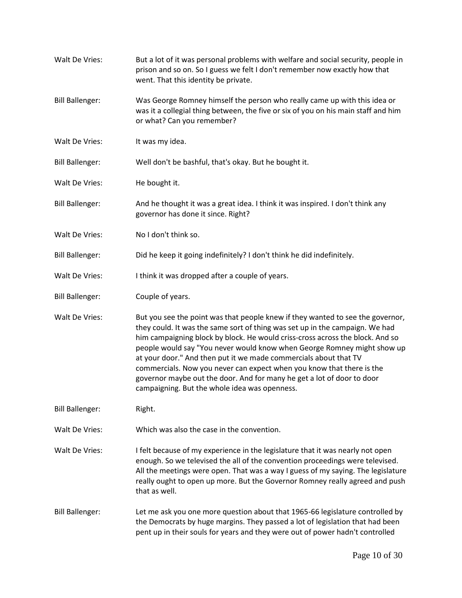| Walt De Vries:         | But a lot of it was personal problems with welfare and social security, people in<br>prison and so on. So I guess we felt I don't remember now exactly how that<br>went. That this identity be private.                                                                                                                                                                                                                                                                                                                                                                                            |
|------------------------|----------------------------------------------------------------------------------------------------------------------------------------------------------------------------------------------------------------------------------------------------------------------------------------------------------------------------------------------------------------------------------------------------------------------------------------------------------------------------------------------------------------------------------------------------------------------------------------------------|
| <b>Bill Ballenger:</b> | Was George Romney himself the person who really came up with this idea or<br>was it a collegial thing between, the five or six of you on his main staff and him<br>or what? Can you remember?                                                                                                                                                                                                                                                                                                                                                                                                      |
| Walt De Vries:         | It was my idea.                                                                                                                                                                                                                                                                                                                                                                                                                                                                                                                                                                                    |
| <b>Bill Ballenger:</b> | Well don't be bashful, that's okay. But he bought it.                                                                                                                                                                                                                                                                                                                                                                                                                                                                                                                                              |
| Walt De Vries:         | He bought it.                                                                                                                                                                                                                                                                                                                                                                                                                                                                                                                                                                                      |
| <b>Bill Ballenger:</b> | And he thought it was a great idea. I think it was inspired. I don't think any<br>governor has done it since. Right?                                                                                                                                                                                                                                                                                                                                                                                                                                                                               |
| Walt De Vries:         | No I don't think so.                                                                                                                                                                                                                                                                                                                                                                                                                                                                                                                                                                               |
| <b>Bill Ballenger:</b> | Did he keep it going indefinitely? I don't think he did indefinitely.                                                                                                                                                                                                                                                                                                                                                                                                                                                                                                                              |
| Walt De Vries:         | I think it was dropped after a couple of years.                                                                                                                                                                                                                                                                                                                                                                                                                                                                                                                                                    |
| <b>Bill Ballenger:</b> | Couple of years.                                                                                                                                                                                                                                                                                                                                                                                                                                                                                                                                                                                   |
| Walt De Vries:         | But you see the point was that people knew if they wanted to see the governor,<br>they could. It was the same sort of thing was set up in the campaign. We had<br>him campaigning block by block. He would criss-cross across the block. And so<br>people would say "You never would know when George Romney might show up<br>at your door." And then put it we made commercials about that TV<br>commercials. Now you never can expect when you know that there is the<br>governor maybe out the door. And for many he get a lot of door to door<br>campaigning. But the whole idea was openness. |
| <b>Bill Ballenger:</b> | Right.                                                                                                                                                                                                                                                                                                                                                                                                                                                                                                                                                                                             |
| Walt De Vries:         | Which was also the case in the convention.                                                                                                                                                                                                                                                                                                                                                                                                                                                                                                                                                         |
| Walt De Vries:         | I felt because of my experience in the legislature that it was nearly not open<br>enough. So we televised the all of the convention proceedings were televised.<br>All the meetings were open. That was a way I guess of my saying. The legislature<br>really ought to open up more. But the Governor Romney really agreed and push<br>that as well.                                                                                                                                                                                                                                               |
| <b>Bill Ballenger:</b> | Let me ask you one more question about that 1965-66 legislature controlled by<br>the Democrats by huge margins. They passed a lot of legislation that had been<br>pent up in their souls for years and they were out of power hadn't controlled                                                                                                                                                                                                                                                                                                                                                    |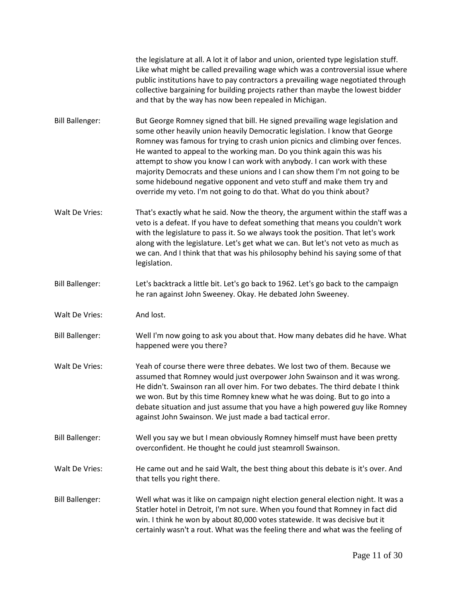the legislature at all. A lot it of labor and union, oriented type legislation stuff. Like what might be called prevailing wage which was a controversial issue where public institutions have to pay contractors a prevailing wage negotiated through collective bargaining for building projects rather than maybe the lowest bidder and that by the way has now been repealed in Michigan.

Bill Ballenger: But George Romney signed that bill. He signed prevailing wage legislation and some other heavily union heavily Democratic legislation. I know that George Romney was famous for trying to crash union picnics and climbing over fences. He wanted to appeal to the working man. Do you think again this was his attempt to show you know I can work with anybody. I can work with these majority Democrats and these unions and I can show them I'm not going to be some hidebound negative opponent and veto stuff and make them try and override my veto. I'm not going to do that. What do you think about?

- Walt De Vries: That's exactly what he said. Now the theory, the argument within the staff was a veto is a defeat. If you have to defeat something that means you couldn't work with the legislature to pass it. So we always took the position. That let's work along with the legislature. Let's get what we can. But let's not veto as much as we can. And I think that that was his philosophy behind his saying some of that legislation.
- Bill Ballenger: Let's backtrack a little bit. Let's go back to 1962. Let's go back to the campaign he ran against John Sweeney. Okay. He debated John Sweeney.
- Walt De Vries: And lost.
- Bill Ballenger: Well I'm now going to ask you about that. How many debates did he have. What happened were you there?
- Walt De Vries: Yeah of course there were three debates. We lost two of them. Because we assumed that Romney would just overpower John Swainson and it was wrong. He didn't. Swainson ran all over him. For two debates. The third debate I think we won. But by this time Romney knew what he was doing. But to go into a debate situation and just assume that you have a high powered guy like Romney against John Swainson. We just made a bad tactical error.
- Bill Ballenger: Well you say we but I mean obviously Romney himself must have been pretty overconfident. He thought he could just steamroll Swainson.
- Walt De Vries: He came out and he said Walt, the best thing about this debate is it's over. And that tells you right there.
- Bill Ballenger: Well what was it like on campaign night election general election night. It was a Statler hotel in Detroit, I'm not sure. When you found that Romney in fact did win. I think he won by about 80,000 votes statewide. It was decisive but it certainly wasn't a rout. What was the feeling there and what was the feeling of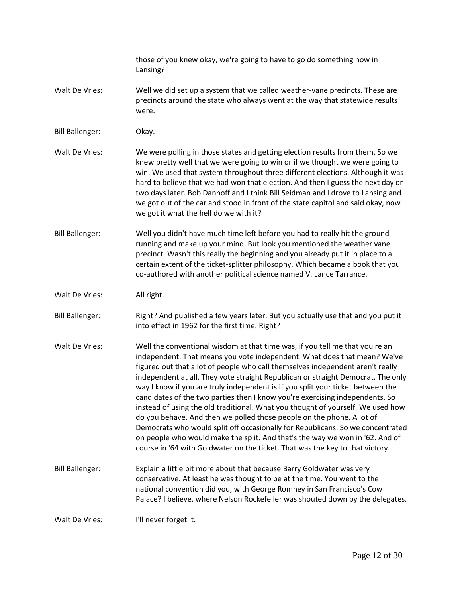those of you knew okay, we're going to have to go do something now in Lansing?

- Walt De Vries: Well we did set up a system that we called weather-vane precincts. These are precincts around the state who always went at the way that statewide results were.
- Bill Ballenger: Okay.

Walt De Vries: We were polling in those states and getting election results from them. So we knew pretty well that we were going to win or if we thought we were going to win. We used that system throughout three different elections. Although it was hard to believe that we had won that election. And then I guess the next day or two days later. Bob Danhoff and I think Bill Seidman and I drove to Lansing and we got out of the car and stood in front of the state capitol and said okay, now we got it what the hell do we with it?

Bill Ballenger: Well you didn't have much time left before you had to really hit the ground running and make up your mind. But look you mentioned the weather vane precinct. Wasn't this really the beginning and you already put it in place to a certain extent of the ticket-splitter philosophy. Which became a book that you co-authored with another political science named V. Lance Tarrance.

Walt De Vries: All right.

Bill Ballenger: Right? And published a few years later. But you actually use that and you put it into effect in 1962 for the first time. Right?

- Walt De Vries: Well the conventional wisdom at that time was, if you tell me that you're an independent. That means you vote independent. What does that mean? We've figured out that a lot of people who call themselves independent aren't really independent at all. They vote straight Republican or straight Democrat. The only way I know if you are truly independent is if you split your ticket between the candidates of the two parties then I know you're exercising independents. So instead of using the old traditional. What you thought of yourself. We used how do you behave. And then we polled those people on the phone. A lot of Democrats who would split off occasionally for Republicans. So we concentrated on people who would make the split. And that's the way we won in '62. And of course in '64 with Goldwater on the ticket. That was the key to that victory.
- Bill Ballenger: Explain a little bit more about that because Barry Goldwater was very conservative. At least he was thought to be at the time. You went to the national convention did you, with George Romney in San Francisco's Cow Palace? I believe, where Nelson Rockefeller was shouted down by the delegates.

Walt De Vries: I'll never forget it.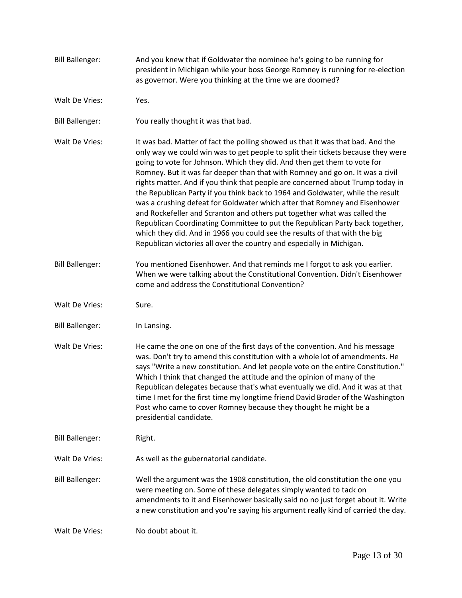| <b>Bill Ballenger:</b> | And you knew that if Goldwater the nominee he's going to be running for<br>president in Michigan while your boss George Romney is running for re-election<br>as governor. Were you thinking at the time we are doomed?                                                                                                                                                                                                                                                                                                                                                                                                                                                                                                                                                                                                                                                                               |
|------------------------|------------------------------------------------------------------------------------------------------------------------------------------------------------------------------------------------------------------------------------------------------------------------------------------------------------------------------------------------------------------------------------------------------------------------------------------------------------------------------------------------------------------------------------------------------------------------------------------------------------------------------------------------------------------------------------------------------------------------------------------------------------------------------------------------------------------------------------------------------------------------------------------------------|
| Walt De Vries:         | Yes.                                                                                                                                                                                                                                                                                                                                                                                                                                                                                                                                                                                                                                                                                                                                                                                                                                                                                                 |
| <b>Bill Ballenger:</b> | You really thought it was that bad.                                                                                                                                                                                                                                                                                                                                                                                                                                                                                                                                                                                                                                                                                                                                                                                                                                                                  |
| Walt De Vries:         | It was bad. Matter of fact the polling showed us that it was that bad. And the<br>only way we could win was to get people to split their tickets because they were<br>going to vote for Johnson. Which they did. And then get them to vote for<br>Romney. But it was far deeper than that with Romney and go on. It was a civil<br>rights matter. And if you think that people are concerned about Trump today in<br>the Republican Party if you think back to 1964 and Goldwater, while the result<br>was a crushing defeat for Goldwater which after that Romney and Eisenhower<br>and Rockefeller and Scranton and others put together what was called the<br>Republican Coordinating Committee to put the Republican Party back together,<br>which they did. And in 1966 you could see the results of that with the big<br>Republican victories all over the country and especially in Michigan. |
| <b>Bill Ballenger:</b> | You mentioned Eisenhower. And that reminds me I forgot to ask you earlier.<br>When we were talking about the Constitutional Convention. Didn't Eisenhower<br>come and address the Constitutional Convention?                                                                                                                                                                                                                                                                                                                                                                                                                                                                                                                                                                                                                                                                                         |
| Walt De Vries:         | Sure.                                                                                                                                                                                                                                                                                                                                                                                                                                                                                                                                                                                                                                                                                                                                                                                                                                                                                                |
| <b>Bill Ballenger:</b> | In Lansing.                                                                                                                                                                                                                                                                                                                                                                                                                                                                                                                                                                                                                                                                                                                                                                                                                                                                                          |
| Walt De Vries:         | He came the one on one of the first days of the convention. And his message<br>was. Don't try to amend this constitution with a whole lot of amendments. He<br>says "Write a new constitution. And let people vote on the entire Constitution."<br>Which I think that changed the attitude and the opinion of many of the<br>Republican delegates because that's what eventually we did. And it was at that<br>time I met for the first time my longtime friend David Broder of the Washington<br>Post who came to cover Romney because they thought he might be a<br>presidential candidate.                                                                                                                                                                                                                                                                                                        |
| <b>Bill Ballenger:</b> | Right.                                                                                                                                                                                                                                                                                                                                                                                                                                                                                                                                                                                                                                                                                                                                                                                                                                                                                               |
| Walt De Vries:         | As well as the gubernatorial candidate.                                                                                                                                                                                                                                                                                                                                                                                                                                                                                                                                                                                                                                                                                                                                                                                                                                                              |
| <b>Bill Ballenger:</b> | Well the argument was the 1908 constitution, the old constitution the one you<br>were meeting on. Some of these delegates simply wanted to tack on<br>amendments to it and Eisenhower basically said no no just forget about it. Write<br>a new constitution and you're saying his argument really kind of carried the day.                                                                                                                                                                                                                                                                                                                                                                                                                                                                                                                                                                          |
| Walt De Vries:         | No doubt about it.                                                                                                                                                                                                                                                                                                                                                                                                                                                                                                                                                                                                                                                                                                                                                                                                                                                                                   |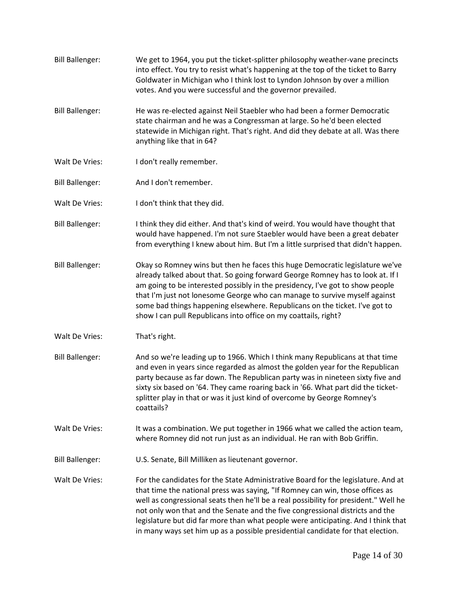Bill Ballenger: We get to 1964, you put the ticket-splitter philosophy weather-vane precincts into effect. You try to resist what's happening at the top of the ticket to Barry Goldwater in Michigan who I think lost to Lyndon Johnson by over a million votes. And you were successful and the governor prevailed. Bill Ballenger: He was re-elected against Neil Staebler who had been a former Democratic state chairman and he was a Congressman at large. So he'd been elected statewide in Michigan right. That's right. And did they debate at all. Was there anything like that in 64? Walt De Vries: I don't really remember. Bill Ballenger: And I don't remember. Walt De Vries: I don't think that they did. Bill Ballenger: I think they did either. And that's kind of weird. You would have thought that would have happened. I'm not sure Staebler would have been a great debater from everything I knew about him. But I'm a little surprised that didn't happen. Bill Ballenger: Okay so Romney wins but then he faces this huge Democratic legislature we've already talked about that. So going forward George Romney has to look at. If I am going to be interested possibly in the presidency, I've got to show people that I'm just not lonesome George who can manage to survive myself against some bad things happening elsewhere. Republicans on the ticket. I've got to show I can pull Republicans into office on my coattails, right? Walt De Vries: That's right. Bill Ballenger: And so we're leading up to 1966. Which I think many Republicans at that time and even in years since regarded as almost the golden year for the Republican party because as far down. The Republican party was in nineteen sixty five and sixty six based on '64. They came roaring back in '66. What part did the ticketsplitter play in that or was it just kind of overcome by George Romney's coattails? Walt De Vries: It was a combination. We put together in 1966 what we called the action team, where Romney did not run just as an individual. He ran with Bob Griffin. Bill Ballenger: U.S. Senate, Bill Milliken as lieutenant governor. Walt De Vries: For the candidates for the State Administrative Board for the legislature. And at that time the national press was saying, "If Romney can win, those offices as well as congressional seats then he'll be a real possibility for president." Well he not only won that and the Senate and the five congressional districts and the legislature but did far more than what people were anticipating. And I think that in many ways set him up as a possible presidential candidate for that election.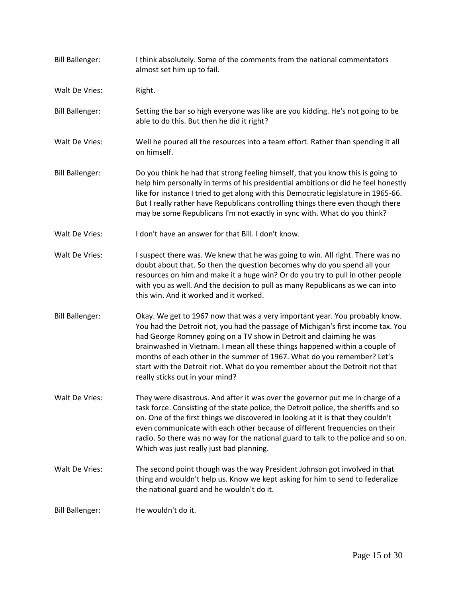| <b>Bill Ballenger:</b> | I think absolutely. Some of the comments from the national commentators<br>almost set him up to fail.                                                                                                                                                                                                                                                                                                                                                                                                                 |
|------------------------|-----------------------------------------------------------------------------------------------------------------------------------------------------------------------------------------------------------------------------------------------------------------------------------------------------------------------------------------------------------------------------------------------------------------------------------------------------------------------------------------------------------------------|
| Walt De Vries:         | Right.                                                                                                                                                                                                                                                                                                                                                                                                                                                                                                                |
| <b>Bill Ballenger:</b> | Setting the bar so high everyone was like are you kidding. He's not going to be<br>able to do this. But then he did it right?                                                                                                                                                                                                                                                                                                                                                                                         |
| Walt De Vries:         | Well he poured all the resources into a team effort. Rather than spending it all<br>on himself.                                                                                                                                                                                                                                                                                                                                                                                                                       |
| <b>Bill Ballenger:</b> | Do you think he had that strong feeling himself, that you know this is going to<br>help him personally in terms of his presidential ambitions or did he feel honestly<br>like for instance I tried to get along with this Democratic legislature in 1965-66.<br>But I really rather have Republicans controlling things there even though there<br>may be some Republicans I'm not exactly in sync with. What do you think?                                                                                           |
| Walt De Vries:         | I don't have an answer for that Bill. I don't know.                                                                                                                                                                                                                                                                                                                                                                                                                                                                   |
| Walt De Vries:         | I suspect there was. We knew that he was going to win. All right. There was no<br>doubt about that. So then the question becomes why do you spend all your<br>resources on him and make it a huge win? Or do you try to pull in other people<br>with you as well. And the decision to pull as many Republicans as we can into<br>this win. And it worked and it worked.                                                                                                                                               |
| <b>Bill Ballenger:</b> | Okay. We get to 1967 now that was a very important year. You probably know.<br>You had the Detroit riot, you had the passage of Michigan's first income tax. You<br>had George Romney going on a TV show in Detroit and claiming he was<br>brainwashed in Vietnam. I mean all these things happened within a couple of<br>months of each other in the summer of 1967. What do you remember? Let's<br>start with the Detroit riot. What do you remember about the Detroit riot that<br>really sticks out in your mind? |
| Walt De Vries:         | They were disastrous. And after it was over the governor put me in charge of a<br>task force. Consisting of the state police, the Detroit police, the sheriffs and so<br>on. One of the first things we discovered in looking at it is that they couldn't<br>even communicate with each other because of different frequencies on their<br>radio. So there was no way for the national guard to talk to the police and so on.<br>Which was just really just bad planning.                                             |
| Walt De Vries:         | The second point though was the way President Johnson got involved in that<br>thing and wouldn't help us. Know we kept asking for him to send to federalize<br>the national guard and he wouldn't do it.                                                                                                                                                                                                                                                                                                              |
| <b>Bill Ballenger:</b> | He wouldn't do it.                                                                                                                                                                                                                                                                                                                                                                                                                                                                                                    |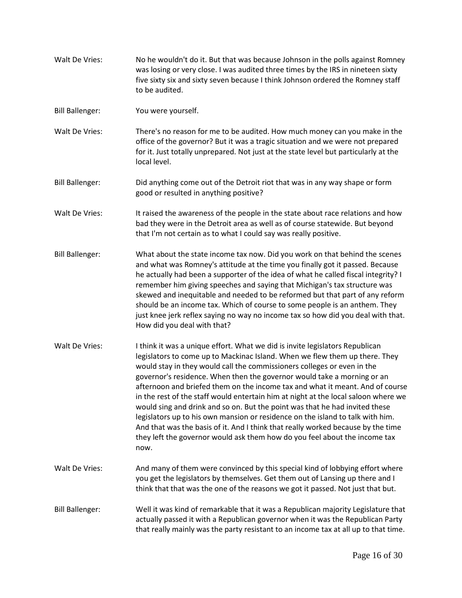- Walt De Vries: No he wouldn't do it. But that was because Johnson in the polls against Romney was losing or very close. I was audited three times by the IRS in nineteen sixty five sixty six and sixty seven because I think Johnson ordered the Romney staff to be audited.
- Bill Ballenger: You were yourself.
- Walt De Vries: There's no reason for me to be audited. How much money can you make in the office of the governor? But it was a tragic situation and we were not prepared for it. Just totally unprepared. Not just at the state level but particularly at the local level.
- Bill Ballenger: Did anything come out of the Detroit riot that was in any way shape or form good or resulted in anything positive?
- Walt De Vries: It raised the awareness of the people in the state about race relations and how bad they were in the Detroit area as well as of course statewide. But beyond that I'm not certain as to what I could say was really positive.
- Bill Ballenger: What about the state income tax now. Did you work on that behind the scenes and what was Romney's attitude at the time you finally got it passed. Because he actually had been a supporter of the idea of what he called fiscal integrity? I remember him giving speeches and saying that Michigan's tax structure was skewed and inequitable and needed to be reformed but that part of any reform should be an income tax. Which of course to some people is an anthem. They just knee jerk reflex saying no way no income tax so how did you deal with that. How did you deal with that?
- Walt De Vries: I think it was a unique effort. What we did is invite legislators Republican legislators to come up to Mackinac Island. When we flew them up there. They would stay in they would call the commissioners colleges or even in the governor's residence. When then the governor would take a morning or an afternoon and briefed them on the income tax and what it meant. And of course in the rest of the staff would entertain him at night at the local saloon where we would sing and drink and so on. But the point was that he had invited these legislators up to his own mansion or residence on the island to talk with him. And that was the basis of it. And I think that really worked because by the time they left the governor would ask them how do you feel about the income tax now.
- Walt De Vries: And many of them were convinced by this special kind of lobbying effort where you get the legislators by themselves. Get them out of Lansing up there and I think that that was the one of the reasons we got it passed. Not just that but.
- Bill Ballenger: Well it was kind of remarkable that it was a Republican majority Legislature that actually passed it with a Republican governor when it was the Republican Party that really mainly was the party resistant to an income tax at all up to that time.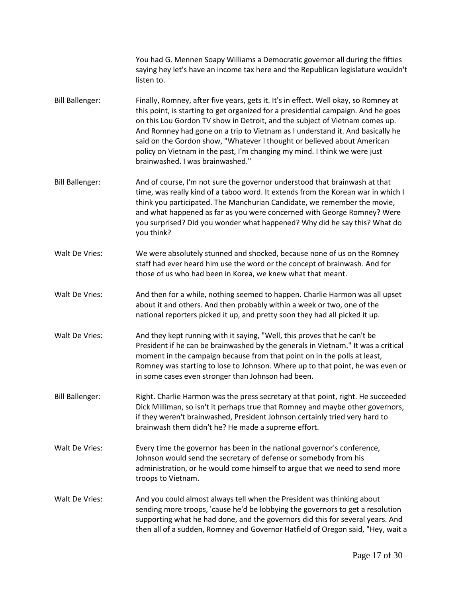|                        | You had G. Mennen Soapy Williams a Democratic governor all during the fifties<br>saying hey let's have an income tax here and the Republican legislature wouldn't<br>listen to.                                                                                                                                                                                                                                                                                                                                                      |
|------------------------|--------------------------------------------------------------------------------------------------------------------------------------------------------------------------------------------------------------------------------------------------------------------------------------------------------------------------------------------------------------------------------------------------------------------------------------------------------------------------------------------------------------------------------------|
| <b>Bill Ballenger:</b> | Finally, Romney, after five years, gets it. It's in effect. Well okay, so Romney at<br>this point, is starting to get organized for a presidential campaign. And he goes<br>on this Lou Gordon TV show in Detroit, and the subject of Vietnam comes up.<br>And Romney had gone on a trip to Vietnam as I understand it. And basically he<br>said on the Gordon show, "Whatever I thought or believed about American<br>policy on Vietnam in the past, I'm changing my mind. I think we were just<br>brainwashed. I was brainwashed." |
| <b>Bill Ballenger:</b> | And of course, I'm not sure the governor understood that brainwash at that<br>time, was really kind of a taboo word. It extends from the Korean war in which I<br>think you participated. The Manchurian Candidate, we remember the movie,<br>and what happened as far as you were concerned with George Romney? Were<br>you surprised? Did you wonder what happened? Why did he say this? What do<br>you think?                                                                                                                     |
| Walt De Vries:         | We were absolutely stunned and shocked, because none of us on the Romney<br>staff had ever heard him use the word or the concept of brainwash. And for<br>those of us who had been in Korea, we knew what that meant.                                                                                                                                                                                                                                                                                                                |
| Walt De Vries:         | And then for a while, nothing seemed to happen. Charlie Harmon was all upset<br>about it and others. And then probably within a week or two, one of the<br>national reporters picked it up, and pretty soon they had all picked it up.                                                                                                                                                                                                                                                                                               |
| Walt De Vries:         | And they kept running with it saying, "Well, this proves that he can't be<br>President if he can be brainwashed by the generals in Vietnam." It was a critical<br>moment in the campaign because from that point on in the polls at least,<br>Romney was starting to lose to Johnson. Where up to that point, he was even or<br>in some cases even stronger than Johnson had been.                                                                                                                                                   |
| <b>Bill Ballenger:</b> | Right. Charlie Harmon was the press secretary at that point, right. He succeeded<br>Dick Milliman, so isn't it perhaps true that Romney and maybe other governors,<br>if they weren't brainwashed, President Johnson certainly tried very hard to<br>brainwash them didn't he? He made a supreme effort.                                                                                                                                                                                                                             |
| Walt De Vries:         | Every time the governor has been in the national governor's conference,<br>Johnson would send the secretary of defense or somebody from his<br>administration, or he would come himself to argue that we need to send more<br>troops to Vietnam.                                                                                                                                                                                                                                                                                     |
| Walt De Vries:         | And you could almost always tell when the President was thinking about<br>sending more troops, 'cause he'd be lobbying the governors to get a resolution<br>supporting what he had done, and the governors did this for several years. And<br>then all of a sudden, Romney and Governor Hatfield of Oregon said, "Hey, wait a                                                                                                                                                                                                        |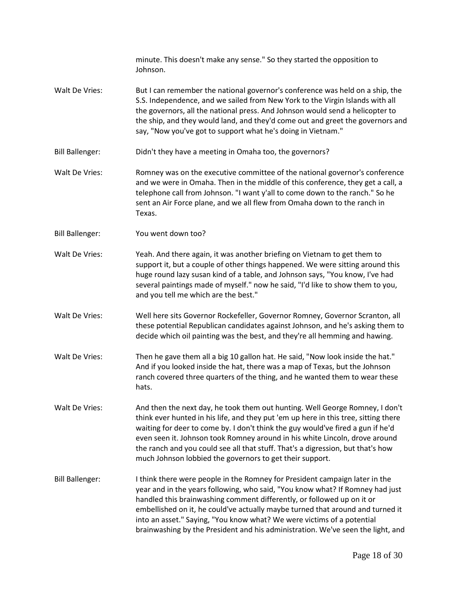minute. This doesn't make any sense." So they started the opposition to Johnson. Walt De Vries: But I can remember the national governor's conference was held on a ship, the S.S. Independence, and we sailed from New York to the Virgin Islands with all the governors, all the national press. And Johnson would send a helicopter to the ship, and they would land, and they'd come out and greet the governors and say, "Now you've got to support what he's doing in Vietnam." Bill Ballenger: Didn't they have a meeting in Omaha too, the governors? Walt De Vries: Romney was on the executive committee of the national governor's conference and we were in Omaha. Then in the middle of this conference, they get a call, a telephone call from Johnson. "I want y'all to come down to the ranch." So he sent an Air Force plane, and we all flew from Omaha down to the ranch in Texas. Bill Ballenger: You went down too? Walt De Vries: Yeah. And there again, it was another briefing on Vietnam to get them to support it, but a couple of other things happened. We were sitting around this huge round lazy susan kind of a table, and Johnson says, "You know, I've had several paintings made of myself." now he said, "I'd like to show them to you, and you tell me which are the best." Walt De Vries: Well here sits Governor Rockefeller, Governor Romney, Governor Scranton, all these potential Republican candidates against Johnson, and he's asking them to decide which oil painting was the best, and they're all hemming and hawing. Walt De Vries: Then he gave them all a big 10 gallon hat. He said, "Now look inside the hat." And if you looked inside the hat, there was a map of Texas, but the Johnson ranch covered three quarters of the thing, and he wanted them to wear these hats. Walt De Vries: And then the next day, he took them out hunting. Well George Romney, I don't think ever hunted in his life, and they put 'em up here in this tree, sitting there waiting for deer to come by. I don't think the guy would've fired a gun if he'd even seen it. Johnson took Romney around in his white Lincoln, drove around the ranch and you could see all that stuff. That's a digression, but that's how much Johnson lobbied the governors to get their support. Bill Ballenger: I think there were people in the Romney for President campaign later in the year and in the years following, who said, "You know what? If Romney had just handled this brainwashing comment differently, or followed up on it or embellished on it, he could've actually maybe turned that around and turned it into an asset." Saying, "You know what? We were victims of a potential brainwashing by the President and his administration. We've seen the light, and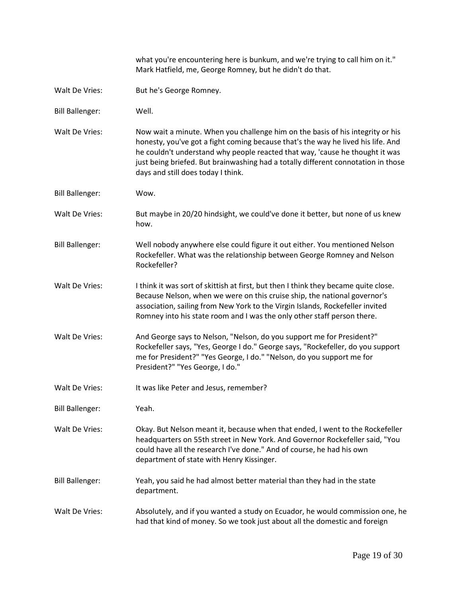what you're encountering here is bunkum, and we're trying to call him on it." Mark Hatfield, me, George Romney, but he didn't do that. Walt De Vries: But he's George Romney. Bill Ballenger: Well. Walt De Vries: Now wait a minute. When you challenge him on the basis of his integrity or his honesty, you've got a fight coming because that's the way he lived his life. And he couldn't understand why people reacted that way, 'cause he thought it was just being briefed. But brainwashing had a totally different connotation in those days and still does today I think. Bill Ballenger: Wow. Walt De Vries: But maybe in 20/20 hindsight, we could've done it better, but none of us knew how. Bill Ballenger: Well nobody anywhere else could figure it out either. You mentioned Nelson Rockefeller. What was the relationship between George Romney and Nelson Rockefeller? Walt De Vries: I think it was sort of skittish at first, but then I think they became quite close. Because Nelson, when we were on this cruise ship, the national governor's association, sailing from New York to the Virgin Islands, Rockefeller invited Romney into his state room and I was the only other staff person there. Walt De Vries: And George says to Nelson, "Nelson, do you support me for President?" Rockefeller says, "Yes, George I do." George says, "Rockefeller, do you support me for President?" "Yes George, I do." "Nelson, do you support me for President?" "Yes George, I do." Walt De Vries: It was like Peter and Jesus, remember? Bill Ballenger: Yeah. Walt De Vries: Okay. But Nelson meant it, because when that ended, I went to the Rockefeller headquarters on 55th street in New York. And Governor Rockefeller said, "You could have all the research I've done." And of course, he had his own department of state with Henry Kissinger. Bill Ballenger: Yeah, you said he had almost better material than they had in the state department. Walt De Vries: Absolutely, and if you wanted a study on Ecuador, he would commission one, he had that kind of money. So we took just about all the domestic and foreign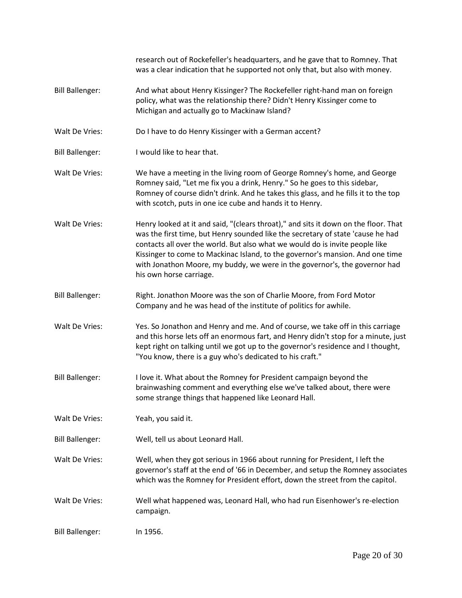|                        | research out of Rockefeller's headquarters, and he gave that to Romney. That<br>was a clear indication that he supported not only that, but also with money.                                                                                                                                                                                                                                                                                     |
|------------------------|--------------------------------------------------------------------------------------------------------------------------------------------------------------------------------------------------------------------------------------------------------------------------------------------------------------------------------------------------------------------------------------------------------------------------------------------------|
| <b>Bill Ballenger:</b> | And what about Henry Kissinger? The Rockefeller right-hand man on foreign<br>policy, what was the relationship there? Didn't Henry Kissinger come to<br>Michigan and actually go to Mackinaw Island?                                                                                                                                                                                                                                             |
| Walt De Vries:         | Do I have to do Henry Kissinger with a German accent?                                                                                                                                                                                                                                                                                                                                                                                            |
| <b>Bill Ballenger:</b> | I would like to hear that.                                                                                                                                                                                                                                                                                                                                                                                                                       |
| Walt De Vries:         | We have a meeting in the living room of George Romney's home, and George<br>Romney said, "Let me fix you a drink, Henry." So he goes to this sidebar,<br>Romney of course didn't drink. And he takes this glass, and he fills it to the top<br>with scotch, puts in one ice cube and hands it to Henry.                                                                                                                                          |
| Walt De Vries:         | Henry looked at it and said, "(clears throat)," and sits it down on the floor. That<br>was the first time, but Henry sounded like the secretary of state 'cause he had<br>contacts all over the world. But also what we would do is invite people like<br>Kissinger to come to Mackinac Island, to the governor's mansion. And one time<br>with Jonathon Moore, my buddy, we were in the governor's, the governor had<br>his own horse carriage. |
| <b>Bill Ballenger:</b> | Right. Jonathon Moore was the son of Charlie Moore, from Ford Motor<br>Company and he was head of the institute of politics for awhile.                                                                                                                                                                                                                                                                                                          |
| Walt De Vries:         | Yes. So Jonathon and Henry and me. And of course, we take off in this carriage<br>and this horse lets off an enormous fart, and Henry didn't stop for a minute, just<br>kept right on talking until we got up to the governor's residence and I thought,<br>"You know, there is a guy who's dedicated to his craft."                                                                                                                             |
| <b>Bill Ballenger:</b> | I love it. What about the Romney for President campaign beyond the<br>brainwashing comment and everything else we've talked about, there were<br>some strange things that happened like Leonard Hall.                                                                                                                                                                                                                                            |
| Walt De Vries:         | Yeah, you said it.                                                                                                                                                                                                                                                                                                                                                                                                                               |
| <b>Bill Ballenger:</b> | Well, tell us about Leonard Hall.                                                                                                                                                                                                                                                                                                                                                                                                                |
| Walt De Vries:         | Well, when they got serious in 1966 about running for President, I left the<br>governor's staff at the end of '66 in December, and setup the Romney associates<br>which was the Romney for President effort, down the street from the capitol.                                                                                                                                                                                                   |
| Walt De Vries:         | Well what happened was, Leonard Hall, who had run Eisenhower's re-election<br>campaign.                                                                                                                                                                                                                                                                                                                                                          |
| <b>Bill Ballenger:</b> | In 1956.                                                                                                                                                                                                                                                                                                                                                                                                                                         |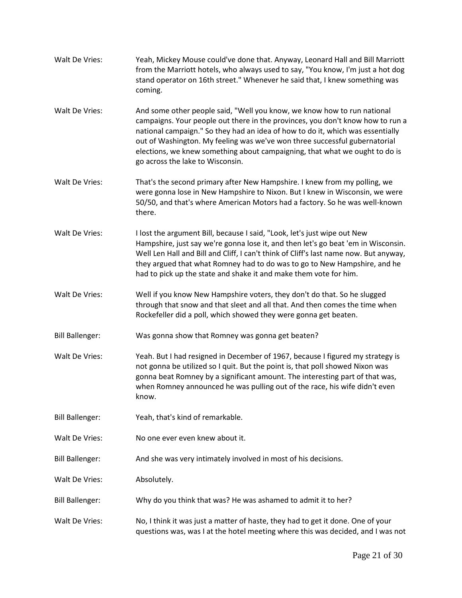| Walt De Vries:         | Yeah, Mickey Mouse could've done that. Anyway, Leonard Hall and Bill Marriott<br>from the Marriott hotels, who always used to say, "You know, I'm just a hot dog<br>stand operator on 16th street." Whenever he said that, I knew something was<br>coming.                                                                                                                                                                                   |
|------------------------|----------------------------------------------------------------------------------------------------------------------------------------------------------------------------------------------------------------------------------------------------------------------------------------------------------------------------------------------------------------------------------------------------------------------------------------------|
| Walt De Vries:         | And some other people said, "Well you know, we know how to run national<br>campaigns. Your people out there in the provinces, you don't know how to run a<br>national campaign." So they had an idea of how to do it, which was essentially<br>out of Washington. My feeling was we've won three successful gubernatorial<br>elections, we knew something about campaigning, that what we ought to do is<br>go across the lake to Wisconsin. |
| Walt De Vries:         | That's the second primary after New Hampshire. I knew from my polling, we<br>were gonna lose in New Hampshire to Nixon. But I knew in Wisconsin, we were<br>50/50, and that's where American Motors had a factory. So he was well-known<br>there.                                                                                                                                                                                            |
| Walt De Vries:         | I lost the argument Bill, because I said, "Look, let's just wipe out New<br>Hampshire, just say we're gonna lose it, and then let's go beat 'em in Wisconsin.<br>Well Len Hall and Bill and Cliff, I can't think of Cliff's last name now. But anyway,<br>they argued that what Romney had to do was to go to New Hampshire, and he<br>had to pick up the state and shake it and make them vote for him.                                     |
| Walt De Vries:         | Well if you know New Hampshire voters, they don't do that. So he slugged<br>through that snow and that sleet and all that. And then comes the time when<br>Rockefeller did a poll, which showed they were gonna get beaten.                                                                                                                                                                                                                  |
| <b>Bill Ballenger:</b> | Was gonna show that Romney was gonna get beaten?                                                                                                                                                                                                                                                                                                                                                                                             |
| Walt De Vries:         | Yeah. But I had resigned in December of 1967, because I figured my strategy is<br>not gonna be utilized so I quit. But the point is, that poll showed Nixon was<br>gonna beat Romney by a significant amount. The interesting part of that was,<br>when Romney announced he was pulling out of the race, his wife didn't even<br>know.                                                                                                       |
| <b>Bill Ballenger:</b> | Yeah, that's kind of remarkable.                                                                                                                                                                                                                                                                                                                                                                                                             |
| Walt De Vries:         | No one ever even knew about it.                                                                                                                                                                                                                                                                                                                                                                                                              |
| <b>Bill Ballenger:</b> | And she was very intimately involved in most of his decisions.                                                                                                                                                                                                                                                                                                                                                                               |
| Walt De Vries:         | Absolutely.                                                                                                                                                                                                                                                                                                                                                                                                                                  |
| <b>Bill Ballenger:</b> | Why do you think that was? He was ashamed to admit it to her?                                                                                                                                                                                                                                                                                                                                                                                |
| Walt De Vries:         | No, I think it was just a matter of haste, they had to get it done. One of your<br>questions was, was I at the hotel meeting where this was decided, and I was not                                                                                                                                                                                                                                                                           |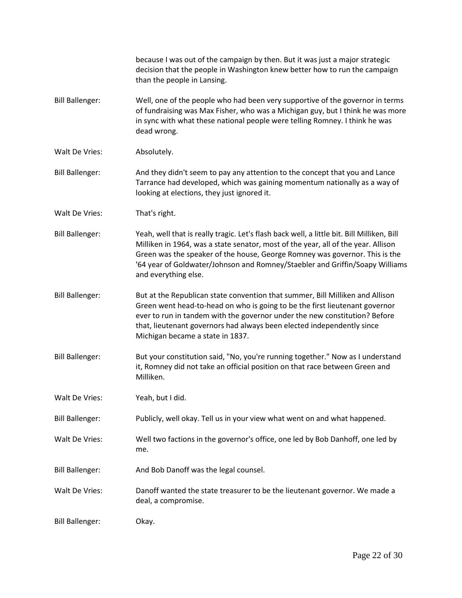|                        | because I was out of the campaign by then. But it was just a major strategic<br>decision that the people in Washington knew better how to run the campaign<br>than the people in Lansing.                                                                                                                                                                              |
|------------------------|------------------------------------------------------------------------------------------------------------------------------------------------------------------------------------------------------------------------------------------------------------------------------------------------------------------------------------------------------------------------|
| <b>Bill Ballenger:</b> | Well, one of the people who had been very supportive of the governor in terms<br>of fundraising was Max Fisher, who was a Michigan guy, but I think he was more<br>in sync with what these national people were telling Romney. I think he was<br>dead wrong.                                                                                                          |
| Walt De Vries:         | Absolutely.                                                                                                                                                                                                                                                                                                                                                            |
| <b>Bill Ballenger:</b> | And they didn't seem to pay any attention to the concept that you and Lance<br>Tarrance had developed, which was gaining momentum nationally as a way of<br>looking at elections, they just ignored it.                                                                                                                                                                |
| Walt De Vries:         | That's right.                                                                                                                                                                                                                                                                                                                                                          |
| <b>Bill Ballenger:</b> | Yeah, well that is really tragic. Let's flash back well, a little bit. Bill Milliken, Bill<br>Milliken in 1964, was a state senator, most of the year, all of the year. Allison<br>Green was the speaker of the house, George Romney was governor. This is the<br>'64 year of Goldwater/Johnson and Romney/Staebler and Griffin/Soapy Williams<br>and everything else. |
| <b>Bill Ballenger:</b> | But at the Republican state convention that summer, Bill Milliken and Allison<br>Green went head-to-head on who is going to be the first lieutenant governor<br>ever to run in tandem with the governor under the new constitution? Before<br>that, lieutenant governors had always been elected independently since<br>Michigan became a state in 1837.               |
| <b>Bill Ballenger:</b> | But your constitution said, "No, you're running together." Now as I understand<br>it, Romney did not take an official position on that race between Green and<br>Milliken.                                                                                                                                                                                             |
| Walt De Vries:         | Yeah, but I did.                                                                                                                                                                                                                                                                                                                                                       |
| <b>Bill Ballenger:</b> | Publicly, well okay. Tell us in your view what went on and what happened.                                                                                                                                                                                                                                                                                              |
| Walt De Vries:         | Well two factions in the governor's office, one led by Bob Danhoff, one led by<br>me.                                                                                                                                                                                                                                                                                  |
| <b>Bill Ballenger:</b> | And Bob Danoff was the legal counsel.                                                                                                                                                                                                                                                                                                                                  |
| Walt De Vries:         | Danoff wanted the state treasurer to be the lieutenant governor. We made a<br>deal, a compromise.                                                                                                                                                                                                                                                                      |
| <b>Bill Ballenger:</b> | Okay.                                                                                                                                                                                                                                                                                                                                                                  |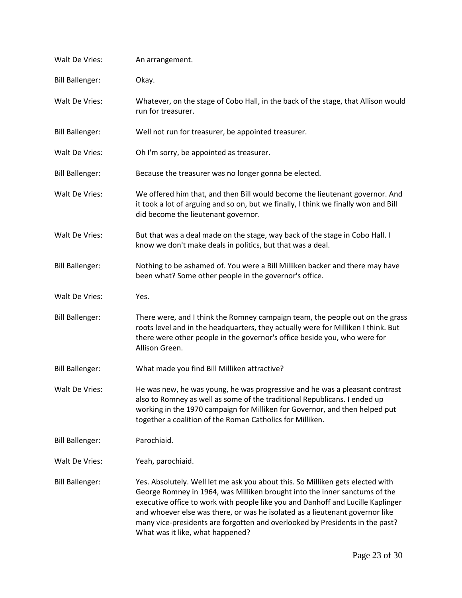| Walt De Vries:         | An arrangement.                                                                                                                                                                                                                                                                                                                                                                                                                                     |
|------------------------|-----------------------------------------------------------------------------------------------------------------------------------------------------------------------------------------------------------------------------------------------------------------------------------------------------------------------------------------------------------------------------------------------------------------------------------------------------|
| <b>Bill Ballenger:</b> | Okay.                                                                                                                                                                                                                                                                                                                                                                                                                                               |
| Walt De Vries:         | Whatever, on the stage of Cobo Hall, in the back of the stage, that Allison would<br>run for treasurer.                                                                                                                                                                                                                                                                                                                                             |
| <b>Bill Ballenger:</b> | Well not run for treasurer, be appointed treasurer.                                                                                                                                                                                                                                                                                                                                                                                                 |
| Walt De Vries:         | Oh I'm sorry, be appointed as treasurer.                                                                                                                                                                                                                                                                                                                                                                                                            |
| <b>Bill Ballenger:</b> | Because the treasurer was no longer gonna be elected.                                                                                                                                                                                                                                                                                                                                                                                               |
| Walt De Vries:         | We offered him that, and then Bill would become the lieutenant governor. And<br>it took a lot of arguing and so on, but we finally, I think we finally won and Bill<br>did become the lieutenant governor.                                                                                                                                                                                                                                          |
| Walt De Vries:         | But that was a deal made on the stage, way back of the stage in Cobo Hall. I<br>know we don't make deals in politics, but that was a deal.                                                                                                                                                                                                                                                                                                          |
| <b>Bill Ballenger:</b> | Nothing to be ashamed of. You were a Bill Milliken backer and there may have<br>been what? Some other people in the governor's office.                                                                                                                                                                                                                                                                                                              |
| Walt De Vries:         | Yes.                                                                                                                                                                                                                                                                                                                                                                                                                                                |
| <b>Bill Ballenger:</b> | There were, and I think the Romney campaign team, the people out on the grass<br>roots level and in the headquarters, they actually were for Milliken I think. But<br>there were other people in the governor's office beside you, who were for<br>Allison Green.                                                                                                                                                                                   |
| <b>Bill Ballenger:</b> | What made you find Bill Milliken attractive?                                                                                                                                                                                                                                                                                                                                                                                                        |
| Walt De Vries:         | He was new, he was young, he was progressive and he was a pleasant contrast<br>also to Romney as well as some of the traditional Republicans. I ended up<br>working in the 1970 campaign for Milliken for Governor, and then helped put<br>together a coalition of the Roman Catholics for Milliken.                                                                                                                                                |
| <b>Bill Ballenger:</b> | Parochiaid.                                                                                                                                                                                                                                                                                                                                                                                                                                         |
| Walt De Vries:         | Yeah, parochiaid.                                                                                                                                                                                                                                                                                                                                                                                                                                   |
| <b>Bill Ballenger:</b> | Yes. Absolutely. Well let me ask you about this. So Milliken gets elected with<br>George Romney in 1964, was Milliken brought into the inner sanctums of the<br>executive office to work with people like you and Danhoff and Lucille Kaplinger<br>and whoever else was there, or was he isolated as a lieutenant governor like<br>many vice-presidents are forgotten and overlooked by Presidents in the past?<br>What was it like, what happened? |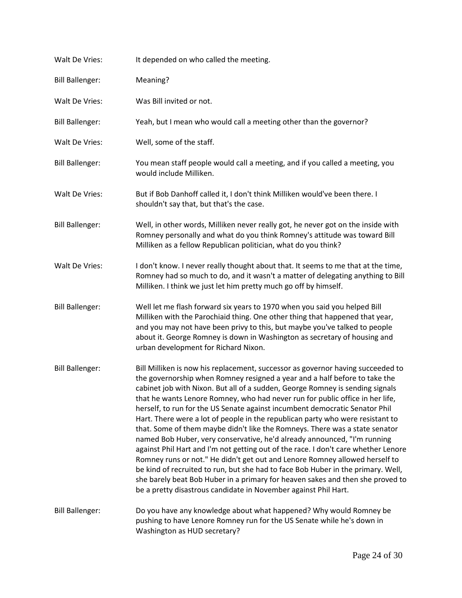| Walt De Vries:         | It depended on who called the meeting.                                                                                                                                                                                                                                                                                                                                                                                                                                                                                                                                                                                                                                                                                                                                                                                                                                                                                                                                                                                                                                    |
|------------------------|---------------------------------------------------------------------------------------------------------------------------------------------------------------------------------------------------------------------------------------------------------------------------------------------------------------------------------------------------------------------------------------------------------------------------------------------------------------------------------------------------------------------------------------------------------------------------------------------------------------------------------------------------------------------------------------------------------------------------------------------------------------------------------------------------------------------------------------------------------------------------------------------------------------------------------------------------------------------------------------------------------------------------------------------------------------------------|
| <b>Bill Ballenger:</b> | Meaning?                                                                                                                                                                                                                                                                                                                                                                                                                                                                                                                                                                                                                                                                                                                                                                                                                                                                                                                                                                                                                                                                  |
| Walt De Vries:         | Was Bill invited or not.                                                                                                                                                                                                                                                                                                                                                                                                                                                                                                                                                                                                                                                                                                                                                                                                                                                                                                                                                                                                                                                  |
| <b>Bill Ballenger:</b> | Yeah, but I mean who would call a meeting other than the governor?                                                                                                                                                                                                                                                                                                                                                                                                                                                                                                                                                                                                                                                                                                                                                                                                                                                                                                                                                                                                        |
| Walt De Vries:         | Well, some of the staff.                                                                                                                                                                                                                                                                                                                                                                                                                                                                                                                                                                                                                                                                                                                                                                                                                                                                                                                                                                                                                                                  |
| <b>Bill Ballenger:</b> | You mean staff people would call a meeting, and if you called a meeting, you<br>would include Milliken.                                                                                                                                                                                                                                                                                                                                                                                                                                                                                                                                                                                                                                                                                                                                                                                                                                                                                                                                                                   |
| Walt De Vries:         | But if Bob Danhoff called it, I don't think Milliken would've been there. I<br>shouldn't say that, but that's the case.                                                                                                                                                                                                                                                                                                                                                                                                                                                                                                                                                                                                                                                                                                                                                                                                                                                                                                                                                   |
| <b>Bill Ballenger:</b> | Well, in other words, Milliken never really got, he never got on the inside with<br>Romney personally and what do you think Romney's attitude was toward Bill<br>Milliken as a fellow Republican politician, what do you think?                                                                                                                                                                                                                                                                                                                                                                                                                                                                                                                                                                                                                                                                                                                                                                                                                                           |
| Walt De Vries:         | I don't know. I never really thought about that. It seems to me that at the time,<br>Romney had so much to do, and it wasn't a matter of delegating anything to Bill<br>Milliken. I think we just let him pretty much go off by himself.                                                                                                                                                                                                                                                                                                                                                                                                                                                                                                                                                                                                                                                                                                                                                                                                                                  |
| <b>Bill Ballenger:</b> | Well let me flash forward six years to 1970 when you said you helped Bill<br>Milliken with the Parochiaid thing. One other thing that happened that year,<br>and you may not have been privy to this, but maybe you've talked to people<br>about it. George Romney is down in Washington as secretary of housing and<br>urban development for Richard Nixon.                                                                                                                                                                                                                                                                                                                                                                                                                                                                                                                                                                                                                                                                                                              |
| <b>Bill Ballenger:</b> | Bill Milliken is now his replacement, successor as governor having succeeded to<br>the governorship when Romney resigned a year and a half before to take the<br>cabinet job with Nixon. But all of a sudden, George Romney is sending signals<br>that he wants Lenore Romney, who had never run for public office in her life,<br>herself, to run for the US Senate against incumbent democratic Senator Phil<br>Hart. There were a lot of people in the republican party who were resistant to<br>that. Some of them maybe didn't like the Romneys. There was a state senator<br>named Bob Huber, very conservative, he'd already announced, "I'm running<br>against Phil Hart and I'm not getting out of the race. I don't care whether Lenore<br>Romney runs or not." He didn't get out and Lenore Romney allowed herself to<br>be kind of recruited to run, but she had to face Bob Huber in the primary. Well,<br>she barely beat Bob Huber in a primary for heaven sakes and then she proved to<br>be a pretty disastrous candidate in November against Phil Hart. |
| <b>Bill Ballenger:</b> | Do you have any knowledge about what happened? Why would Romney be<br>pushing to have Lenore Romney run for the US Senate while he's down in<br>Washington as HUD secretary?                                                                                                                                                                                                                                                                                                                                                                                                                                                                                                                                                                                                                                                                                                                                                                                                                                                                                              |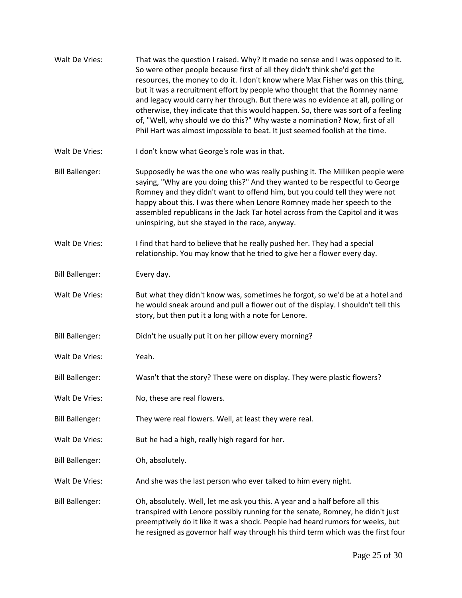| Walt De Vries:         | That was the question I raised. Why? It made no sense and I was opposed to it.<br>So were other people because first of all they didn't think she'd get the<br>resources, the money to do it. I don't know where Max Fisher was on this thing,<br>but it was a recruitment effort by people who thought that the Romney name<br>and legacy would carry her through. But there was no evidence at all, polling or<br>otherwise, they indicate that this would happen. So, there was sort of a feeling<br>of, "Well, why should we do this?" Why waste a nomination? Now, first of all<br>Phil Hart was almost impossible to beat. It just seemed foolish at the time. |
|------------------------|----------------------------------------------------------------------------------------------------------------------------------------------------------------------------------------------------------------------------------------------------------------------------------------------------------------------------------------------------------------------------------------------------------------------------------------------------------------------------------------------------------------------------------------------------------------------------------------------------------------------------------------------------------------------|
| Walt De Vries:         | I don't know what George's role was in that.                                                                                                                                                                                                                                                                                                                                                                                                                                                                                                                                                                                                                         |
| <b>Bill Ballenger:</b> | Supposedly he was the one who was really pushing it. The Milliken people were<br>saying, "Why are you doing this?" And they wanted to be respectful to George<br>Romney and they didn't want to offend him, but you could tell they were not<br>happy about this. I was there when Lenore Romney made her speech to the<br>assembled republicans in the Jack Tar hotel across from the Capitol and it was<br>uninspiring, but she stayed in the race, anyway.                                                                                                                                                                                                        |
| Walt De Vries:         | I find that hard to believe that he really pushed her. They had a special<br>relationship. You may know that he tried to give her a flower every day.                                                                                                                                                                                                                                                                                                                                                                                                                                                                                                                |
| <b>Bill Ballenger:</b> | Every day.                                                                                                                                                                                                                                                                                                                                                                                                                                                                                                                                                                                                                                                           |
| Walt De Vries:         | But what they didn't know was, sometimes he forgot, so we'd be at a hotel and<br>he would sneak around and pull a flower out of the display. I shouldn't tell this<br>story, but then put it a long with a note for Lenore.                                                                                                                                                                                                                                                                                                                                                                                                                                          |
| <b>Bill Ballenger:</b> | Didn't he usually put it on her pillow every morning?                                                                                                                                                                                                                                                                                                                                                                                                                                                                                                                                                                                                                |
| Walt De Vries:         | Yeah.                                                                                                                                                                                                                                                                                                                                                                                                                                                                                                                                                                                                                                                                |
| <b>Bill Ballenger:</b> | Wasn't that the story? These were on display. They were plastic flowers?                                                                                                                                                                                                                                                                                                                                                                                                                                                                                                                                                                                             |
| Walt De Vries:         | No, these are real flowers.                                                                                                                                                                                                                                                                                                                                                                                                                                                                                                                                                                                                                                          |
| <b>Bill Ballenger:</b> | They were real flowers. Well, at least they were real.                                                                                                                                                                                                                                                                                                                                                                                                                                                                                                                                                                                                               |
| Walt De Vries:         | But he had a high, really high regard for her.                                                                                                                                                                                                                                                                                                                                                                                                                                                                                                                                                                                                                       |
| <b>Bill Ballenger:</b> | Oh, absolutely.                                                                                                                                                                                                                                                                                                                                                                                                                                                                                                                                                                                                                                                      |
| Walt De Vries:         | And she was the last person who ever talked to him every night.                                                                                                                                                                                                                                                                                                                                                                                                                                                                                                                                                                                                      |
| <b>Bill Ballenger:</b> | Oh, absolutely. Well, let me ask you this. A year and a half before all this<br>transpired with Lenore possibly running for the senate, Romney, he didn't just<br>preemptively do it like it was a shock. People had heard rumors for weeks, but<br>he resigned as governor half way through his third term which was the first four                                                                                                                                                                                                                                                                                                                                 |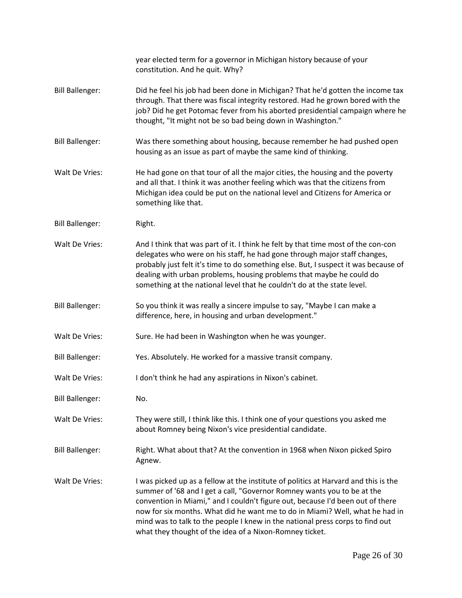|                        | year elected term for a governor in Michigan history because of your<br>constitution. And he quit. Why?                                                                                                                                                                                                                                                                                                                                                                      |
|------------------------|------------------------------------------------------------------------------------------------------------------------------------------------------------------------------------------------------------------------------------------------------------------------------------------------------------------------------------------------------------------------------------------------------------------------------------------------------------------------------|
| <b>Bill Ballenger:</b> | Did he feel his job had been done in Michigan? That he'd gotten the income tax<br>through. That there was fiscal integrity restored. Had he grown bored with the<br>job? Did he get Potomac fever from his aborted presidential campaign where he<br>thought, "It might not be so bad being down in Washington."                                                                                                                                                             |
| <b>Bill Ballenger:</b> | Was there something about housing, because remember he had pushed open<br>housing as an issue as part of maybe the same kind of thinking.                                                                                                                                                                                                                                                                                                                                    |
| Walt De Vries:         | He had gone on that tour of all the major cities, the housing and the poverty<br>and all that. I think it was another feeling which was that the citizens from<br>Michigan idea could be put on the national level and Citizens for America or<br>something like that.                                                                                                                                                                                                       |
| <b>Bill Ballenger:</b> | Right.                                                                                                                                                                                                                                                                                                                                                                                                                                                                       |
| Walt De Vries:         | And I think that was part of it. I think he felt by that time most of the con-con<br>delegates who were on his staff, he had gone through major staff changes,<br>probably just felt it's time to do something else. But, I suspect it was because of<br>dealing with urban problems, housing problems that maybe he could do<br>something at the national level that he couldn't do at the state level.                                                                     |
| <b>Bill Ballenger:</b> | So you think it was really a sincere impulse to say, "Maybe I can make a<br>difference, here, in housing and urban development."                                                                                                                                                                                                                                                                                                                                             |
| Walt De Vries:         | Sure. He had been in Washington when he was younger.                                                                                                                                                                                                                                                                                                                                                                                                                         |
| <b>Bill Ballenger:</b> | Yes. Absolutely. He worked for a massive transit company.                                                                                                                                                                                                                                                                                                                                                                                                                    |
| Walt De Vries:         | I don't think he had any aspirations in Nixon's cabinet.                                                                                                                                                                                                                                                                                                                                                                                                                     |
| <b>Bill Ballenger:</b> | No.                                                                                                                                                                                                                                                                                                                                                                                                                                                                          |
| Walt De Vries:         | They were still, I think like this. I think one of your questions you asked me<br>about Romney being Nixon's vice presidential candidate.                                                                                                                                                                                                                                                                                                                                    |
| <b>Bill Ballenger:</b> | Right. What about that? At the convention in 1968 when Nixon picked Spiro<br>Agnew.                                                                                                                                                                                                                                                                                                                                                                                          |
| Walt De Vries:         | I was picked up as a fellow at the institute of politics at Harvard and this is the<br>summer of '68 and I get a call, "Governor Romney wants you to be at the<br>convention in Miami," and I couldn't figure out, because I'd been out of there<br>now for six months. What did he want me to do in Miami? Well, what he had in<br>mind was to talk to the people I knew in the national press corps to find out<br>what they thought of the idea of a Nixon-Romney ticket. |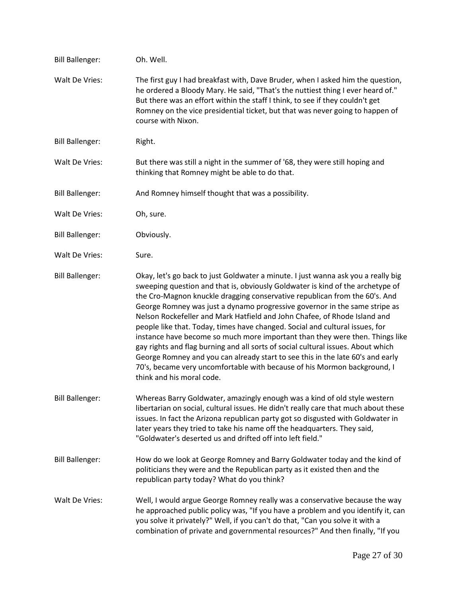| <b>Bill Ballenger:</b> | Oh. Well.                                                                                                                                                                                                                                                                                                                                                                                                                                                                                                                                                                                                                                                                                                                                                                                                                                                   |
|------------------------|-------------------------------------------------------------------------------------------------------------------------------------------------------------------------------------------------------------------------------------------------------------------------------------------------------------------------------------------------------------------------------------------------------------------------------------------------------------------------------------------------------------------------------------------------------------------------------------------------------------------------------------------------------------------------------------------------------------------------------------------------------------------------------------------------------------------------------------------------------------|
| Walt De Vries:         | The first guy I had breakfast with, Dave Bruder, when I asked him the question,<br>he ordered a Bloody Mary. He said, "That's the nuttiest thing I ever heard of."<br>But there was an effort within the staff I think, to see if they couldn't get<br>Romney on the vice presidential ticket, but that was never going to happen of<br>course with Nixon.                                                                                                                                                                                                                                                                                                                                                                                                                                                                                                  |
| <b>Bill Ballenger:</b> | Right.                                                                                                                                                                                                                                                                                                                                                                                                                                                                                                                                                                                                                                                                                                                                                                                                                                                      |
| Walt De Vries:         | But there was still a night in the summer of '68, they were still hoping and<br>thinking that Romney might be able to do that.                                                                                                                                                                                                                                                                                                                                                                                                                                                                                                                                                                                                                                                                                                                              |
| <b>Bill Ballenger:</b> | And Romney himself thought that was a possibility.                                                                                                                                                                                                                                                                                                                                                                                                                                                                                                                                                                                                                                                                                                                                                                                                          |
| Walt De Vries:         | Oh, sure.                                                                                                                                                                                                                                                                                                                                                                                                                                                                                                                                                                                                                                                                                                                                                                                                                                                   |
| <b>Bill Ballenger:</b> | Obviously.                                                                                                                                                                                                                                                                                                                                                                                                                                                                                                                                                                                                                                                                                                                                                                                                                                                  |
| Walt De Vries:         | Sure.                                                                                                                                                                                                                                                                                                                                                                                                                                                                                                                                                                                                                                                                                                                                                                                                                                                       |
| <b>Bill Ballenger:</b> | Okay, let's go back to just Goldwater a minute. I just wanna ask you a really big<br>sweeping question and that is, obviously Goldwater is kind of the archetype of<br>the Cro-Magnon knuckle dragging conservative republican from the 60's. And<br>George Romney was just a dynamo progressive governor in the same stripe as<br>Nelson Rockefeller and Mark Hatfield and John Chafee, of Rhode Island and<br>people like that. Today, times have changed. Social and cultural issues, for<br>instance have become so much more important than they were then. Things like<br>gay rights and flag burning and all sorts of social cultural issues. About which<br>George Romney and you can already start to see this in the late 60's and early<br>70's, became very uncomfortable with because of his Mormon background, I<br>think and his moral code. |
| <b>Bill Ballenger:</b> | Whereas Barry Goldwater, amazingly enough was a kind of old style western<br>libertarian on social, cultural issues. He didn't really care that much about these<br>issues. In fact the Arizona republican party got so disgusted with Goldwater in<br>later years they tried to take his name off the headquarters. They said,<br>"Goldwater's deserted us and drifted off into left field."                                                                                                                                                                                                                                                                                                                                                                                                                                                               |
| <b>Bill Ballenger:</b> | How do we look at George Romney and Barry Goldwater today and the kind of<br>politicians they were and the Republican party as it existed then and the<br>republican party today? What do you think?                                                                                                                                                                                                                                                                                                                                                                                                                                                                                                                                                                                                                                                        |
| Walt De Vries:         | Well, I would argue George Romney really was a conservative because the way<br>he approached public policy was, "If you have a problem and you identify it, can<br>you solve it privately?" Well, if you can't do that, "Can you solve it with a<br>combination of private and governmental resources?" And then finally, "If you                                                                                                                                                                                                                                                                                                                                                                                                                                                                                                                           |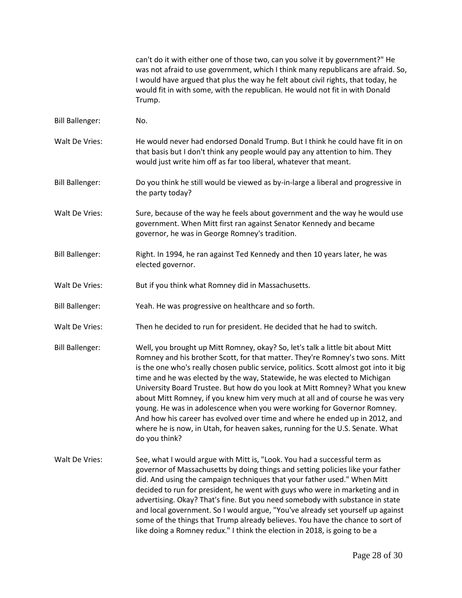can't do it with either one of those two, can you solve it by government?" He was not afraid to use government, which I think many republicans are afraid. So, I would have argued that plus the way he felt about civil rights, that today, he would fit in with some, with the republican. He would not fit in with Donald Trump.

Bill Ballenger: No. Walt De Vries: He would never had endorsed Donald Trump. But I think he could have fit in on that basis but I don't think any people would pay any attention to him. They would just write him off as far too liberal, whatever that meant. Bill Ballenger: Do you think he still would be viewed as by-in-large a liberal and progressive in the party today? Walt De Vries: Sure, because of the way he feels about government and the way he would use government. When Mitt first ran against Senator Kennedy and became governor, he was in George Romney's tradition. Bill Ballenger: Right. In 1994, he ran against Ted Kennedy and then 10 years later, he was elected governor. Walt De Vries: But if you think what Romney did in Massachusetts. Bill Ballenger: Yeah. He was progressive on healthcare and so forth. Walt De Vries: Then he decided to run for president. He decided that he had to switch. Bill Ballenger: Well, you brought up Mitt Romney, okay? So, let's talk a little bit about Mitt Romney and his brother Scott, for that matter. They're Romney's two sons. Mitt is the one who's really chosen public service, politics. Scott almost got into it big time and he was elected by the way, Statewide, he was elected to Michigan University Board Trustee. But how do you look at Mitt Romney? What you knew about Mitt Romney, if you knew him very much at all and of course he was very young. He was in adolescence when you were working for Governor Romney. And how his career has evolved over time and where he ended up in 2012, and where he is now, in Utah, for heaven sakes, running for the U.S. Senate. What do you think? Walt De Vries: See, what I would argue with Mitt is, "Look. You had a successful term as governor of Massachusetts by doing things and setting policies like your father did. And using the campaign techniques that your father used." When Mitt decided to run for president, he went with guys who were in marketing and in advertising. Okay? That's fine. But you need somebody with substance in state and local government. So I would argue, "You've already set yourself up against some of the things that Trump already believes. You have the chance to sort of

like doing a Romney redux." I think the election in 2018, is going to be a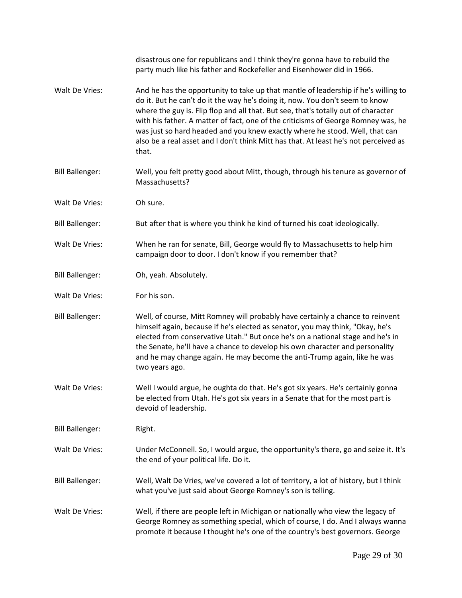|                        | disastrous one for republicans and I think they're gonna have to rebuild the<br>party much like his father and Rockefeller and Eisenhower did in 1966.                                                                                                                                                                                                                                                                                                                                                                        |
|------------------------|-------------------------------------------------------------------------------------------------------------------------------------------------------------------------------------------------------------------------------------------------------------------------------------------------------------------------------------------------------------------------------------------------------------------------------------------------------------------------------------------------------------------------------|
| Walt De Vries:         | And he has the opportunity to take up that mantle of leadership if he's willing to<br>do it. But he can't do it the way he's doing it, now. You don't seem to know<br>where the guy is. Flip flop and all that. But see, that's totally out of character<br>with his father. A matter of fact, one of the criticisms of George Romney was, he<br>was just so hard headed and you knew exactly where he stood. Well, that can<br>also be a real asset and I don't think Mitt has that. At least he's not perceived as<br>that. |
| <b>Bill Ballenger:</b> | Well, you felt pretty good about Mitt, though, through his tenure as governor of<br>Massachusetts?                                                                                                                                                                                                                                                                                                                                                                                                                            |
| Walt De Vries:         | Oh sure.                                                                                                                                                                                                                                                                                                                                                                                                                                                                                                                      |
| <b>Bill Ballenger:</b> | But after that is where you think he kind of turned his coat ideologically.                                                                                                                                                                                                                                                                                                                                                                                                                                                   |
| Walt De Vries:         | When he ran for senate, Bill, George would fly to Massachusetts to help him<br>campaign door to door. I don't know if you remember that?                                                                                                                                                                                                                                                                                                                                                                                      |
| <b>Bill Ballenger:</b> | Oh, yeah. Absolutely.                                                                                                                                                                                                                                                                                                                                                                                                                                                                                                         |
| Walt De Vries:         | For his son.                                                                                                                                                                                                                                                                                                                                                                                                                                                                                                                  |
| <b>Bill Ballenger:</b> | Well, of course, Mitt Romney will probably have certainly a chance to reinvent<br>himself again, because if he's elected as senator, you may think, "Okay, he's<br>elected from conservative Utah." But once he's on a national stage and he's in<br>the Senate, he'll have a chance to develop his own character and personality<br>and he may change again. He may become the anti-Trump again, like he was<br>two years ago.                                                                                               |
| Walt De Vries:         | Well I would argue, he oughta do that. He's got six years. He's certainly gonna<br>be elected from Utah. He's got six years in a Senate that for the most part is<br>devoid of leadership.                                                                                                                                                                                                                                                                                                                                    |
| <b>Bill Ballenger:</b> | Right.                                                                                                                                                                                                                                                                                                                                                                                                                                                                                                                        |
| Walt De Vries:         | Under McConnell. So, I would argue, the opportunity's there, go and seize it. It's<br>the end of your political life. Do it.                                                                                                                                                                                                                                                                                                                                                                                                  |
| <b>Bill Ballenger:</b> | Well, Walt De Vries, we've covered a lot of territory, a lot of history, but I think<br>what you've just said about George Romney's son is telling.                                                                                                                                                                                                                                                                                                                                                                           |
| Walt De Vries:         | Well, if there are people left in Michigan or nationally who view the legacy of<br>George Romney as something special, which of course, I do. And I always wanna<br>promote it because I thought he's one of the country's best governors. George                                                                                                                                                                                                                                                                             |